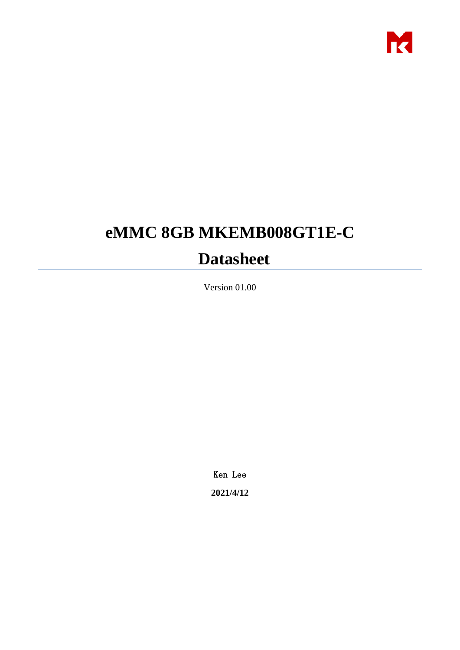

# **eMMC 8GB MKEMB008GT1E-C**

# **Datasheet**

Version 01.00

Ken Lee **2021/4/12**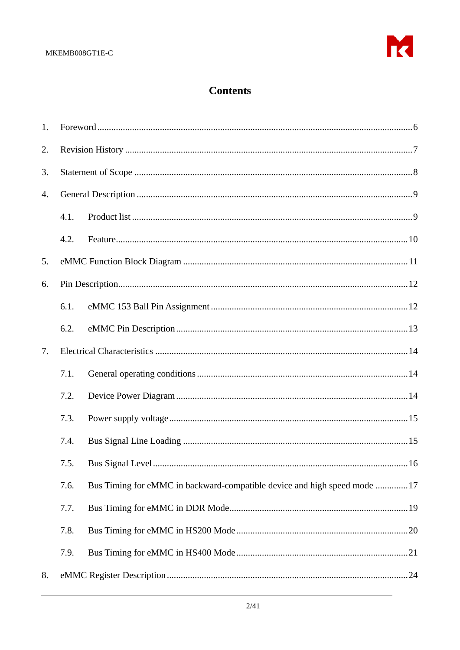

# **Contents**

| 1. |      |                                                                          |
|----|------|--------------------------------------------------------------------------|
| 2. |      |                                                                          |
| 3. |      |                                                                          |
| 4. |      |                                                                          |
|    | 4.1. |                                                                          |
|    | 4.2. |                                                                          |
| 5. |      |                                                                          |
| 6. |      |                                                                          |
|    | 6.1. |                                                                          |
|    | 6.2. |                                                                          |
| 7. |      |                                                                          |
|    | 7.1. |                                                                          |
|    | 7.2. |                                                                          |
|    | 7.3. |                                                                          |
|    | 7.4. |                                                                          |
|    |      | .16                                                                      |
|    | 7.6. | Bus Timing for eMMC in backward-compatible device and high speed mode 17 |
|    | 7.7. |                                                                          |
|    | 7.8. |                                                                          |
|    | 7.9. |                                                                          |
| 8. |      |                                                                          |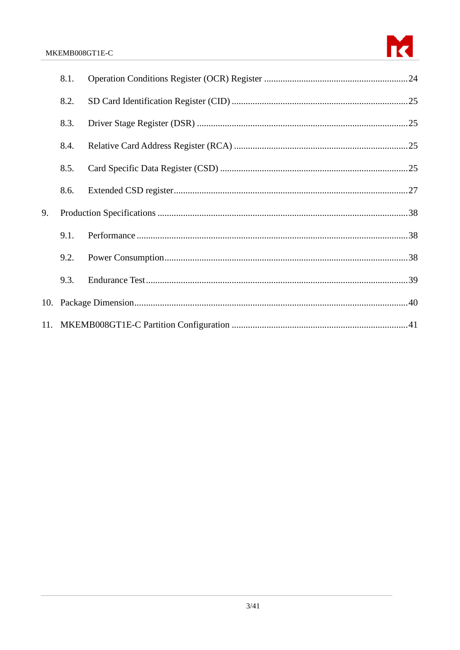

|    | 8.1. |  |
|----|------|--|
|    | 8.2. |  |
|    | 8.3. |  |
|    | 8.4. |  |
|    | 8.5. |  |
|    | 8.6. |  |
| 9. |      |  |
|    | 9.1. |  |
|    | 9.2. |  |
|    | 9.3. |  |
|    |      |  |
|    |      |  |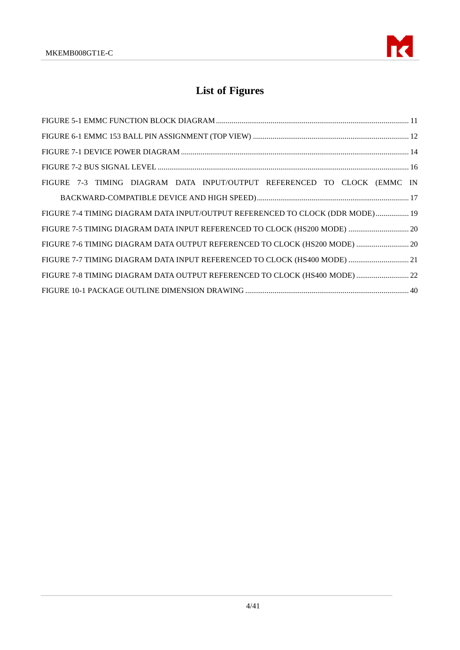

# **List of Figures**

| FIGURE 7-3 TIMING DIAGRAM DATA INPUT/OUTPUT REFERENCED TO CLOCK (EMMC IN      |  |
|-------------------------------------------------------------------------------|--|
|                                                                               |  |
| FIGURE 7-4 TIMING DIAGRAM DATA INPUT/OUTPUT REFERENCED TO CLOCK (DDR MODE) 19 |  |
| FIGURE 7-5 TIMING DIAGRAM DATA INPUT REFERENCED TO CLOCK (HS200 MODE)  20     |  |
| FIGURE 7-6 TIMING DIAGRAM DATA OUTPUT REFERENCED TO CLOCK (HS200 MODE)  20    |  |
| FIGURE 7-7 TIMING DIAGRAM DATA INPUT REFERENCED TO CLOCK (HS400 MODE)  21     |  |
| FIGURE 7-8 TIMING DIAGRAM DATA OUTPUT REFERENCED TO CLOCK (HS400 MODE)  22    |  |
|                                                                               |  |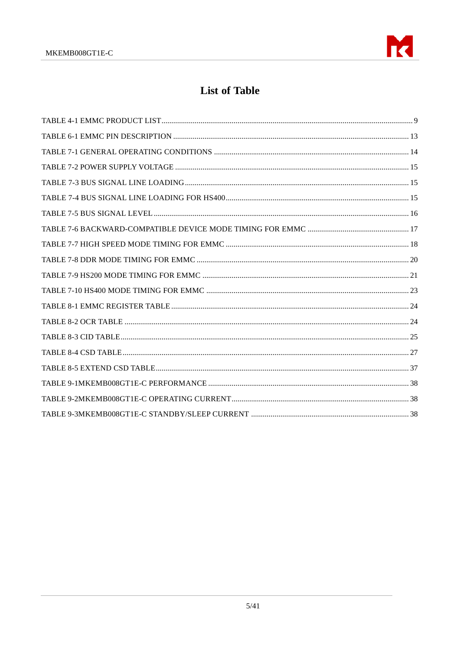

# **List of Table**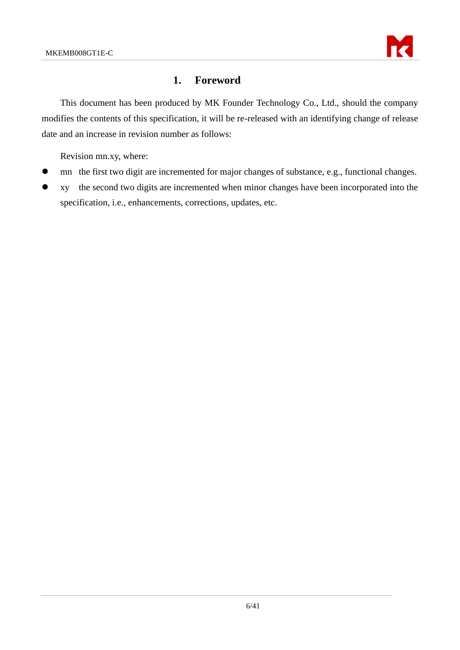

# <span id="page-5-0"></span>**1. Foreword**

This document has been produced by MK Founder Technology Co., Ltd., should the company modifies the contents of this specification, it will be re-released with an identifying change of release date and an increase in revision number as follows:

Revision mn.xy, where:

- mn the first two digit are incremented for major changes of substance, e.g., functional changes.
- ⚫ xy the second two digits are incremented when minor changes have been incorporated into the specification, i.e., enhancements, corrections, updates, etc.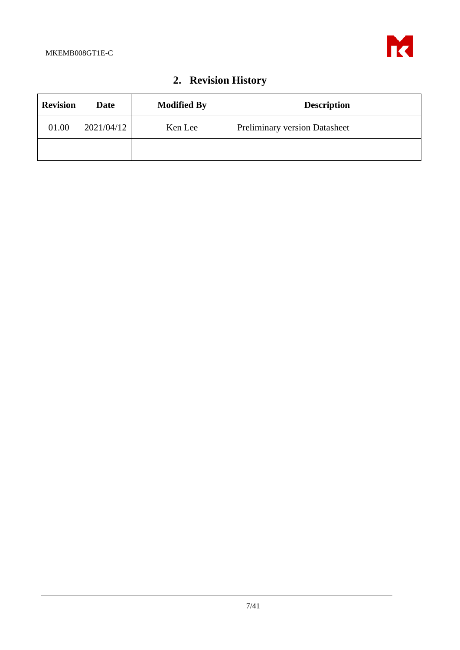

# **2. Revision History**

<span id="page-6-0"></span>

| <b>Revision</b> | <b>Date</b> | <b>Modified By</b> | <b>Description</b>                   |
|-----------------|-------------|--------------------|--------------------------------------|
| 01.00           | 2021/04/12  | Ken Lee            | <b>Preliminary version Datasheet</b> |
|                 |             |                    |                                      |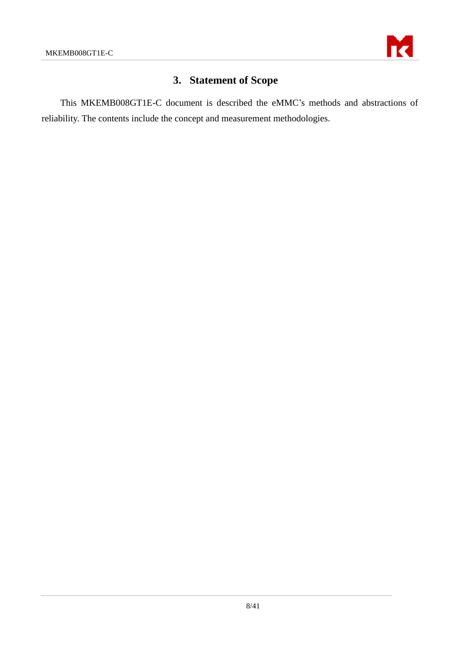

# **3. Statement of Scope**

<span id="page-7-0"></span>This MKEMB008GT1E-C document is described the eMMC's methods and abstractions of reliability. The contents include the concept and measurement methodologies.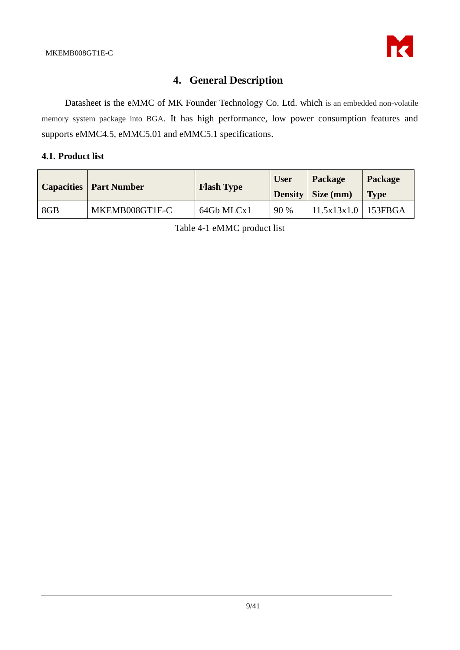

# **4. General Description**

<span id="page-8-0"></span>Datasheet is the eMMC of MK Founder Technology Co. Ltd. which is an embedded non-volatile memory system package into BGA. It has high performance, low power consumption features and supports eMMC4.5, eMMC5.01 and eMMC5.1 specifications.

#### <span id="page-8-1"></span>**4.1. Product list**

<span id="page-8-2"></span>

|     | <b>Capacities   Part Number</b> | <b>Flash Type</b> | <b>User</b> | Package               | Package     |
|-----|---------------------------------|-------------------|-------------|-----------------------|-------------|
|     |                                 |                   |             | Density   Size (mm)   | <b>Type</b> |
| 8GB | MKEMB008GT1E-C                  | 64Gb MLCx1        | 90 %        | $11.5x13x1.0$ 153FBGA |             |

Table 4-1 eMMC product list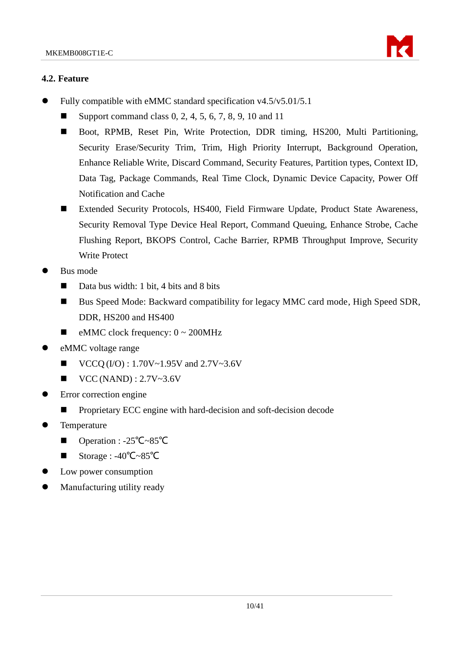

#### <span id="page-9-0"></span>**4.2. Feature**

- ⚫ Fully compatible with eMMC standard specification v4.5/v5.01/5.1
	- Support command class 0, 2, 4, 5, 6, 7, 8, 9, 10 and 11
	- Boot, RPMB, Reset Pin, Write Protection, DDR timing, HS200, Multi Partitioning, Security Erase/Security Trim, Trim, High Priority Interrupt, Background Operation, Enhance Reliable Write, Discard Command, Security Features, Partition types, Context ID, Data Tag, Package Commands, Real Time Clock, Dynamic Device Capacity, Power Off Notification and Cache
	- Extended Security Protocols, HS400, Field Firmware Update, Product State Awareness, Security Removal Type Device Heal Report, Command Queuing, Enhance Strobe, Cache Flushing Report, BKOPS Control, Cache Barrier, RPMB Throughput Improve, Security Write Protect
- ⚫ Bus mode
	- Data bus width: 1 bit, 4 bits and 8 bits
	- Bus Speed Mode: Backward compatibility for legacy MMC card mode, High Speed SDR, DDR, HS200 and HS400
	- $\blacksquare$  eMMC clock frequency:  $0 \sim 200$ MHz
- eMMC voltage range
	- $\blacksquare$  VCCQ (I/O) : 1.70V~1.95V and 2.7V~3.6V
	- $\blacksquare$  VCC (NAND) : 2.7V~3.6V
- ⚫ Error correction engine
	- ◼ Proprietary ECC engine with hard-decision and soft-decision decode
- **Temperature** 
	- Operation : -25<sup>°</sup>C~85<sup>°</sup>C
	- ◼ Storage : -40℃~85℃
- ⚫ Low power consumption
- ⚫ Manufacturing utility ready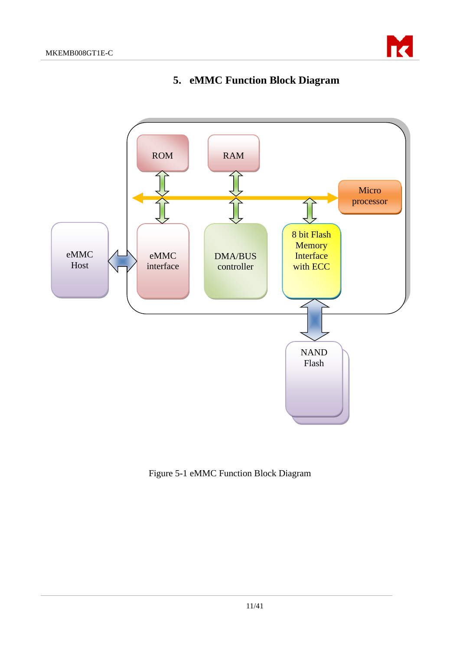

# **5. eMMC Function Block Diagram**

<span id="page-10-0"></span>

<span id="page-10-1"></span>Figure 5-1 eMMC Function Block Diagram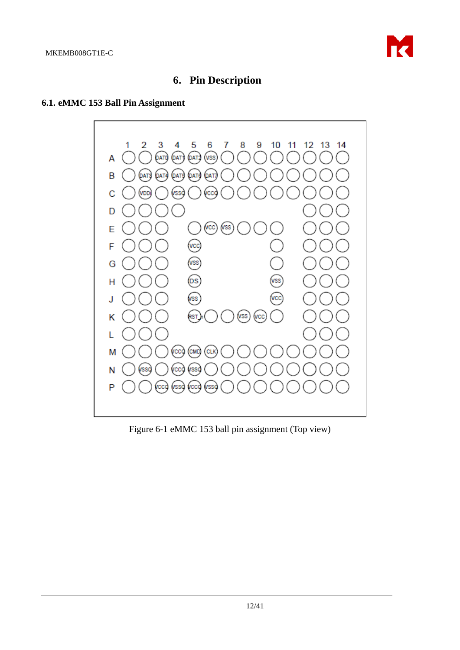

# **6. Pin Description**

### <span id="page-11-1"></span><span id="page-11-0"></span>**6.1. eMMC 153 Ball Pin Assignment**



<span id="page-11-2"></span>Figure 6-1 eMMC 153 ball pin assignment (Top view)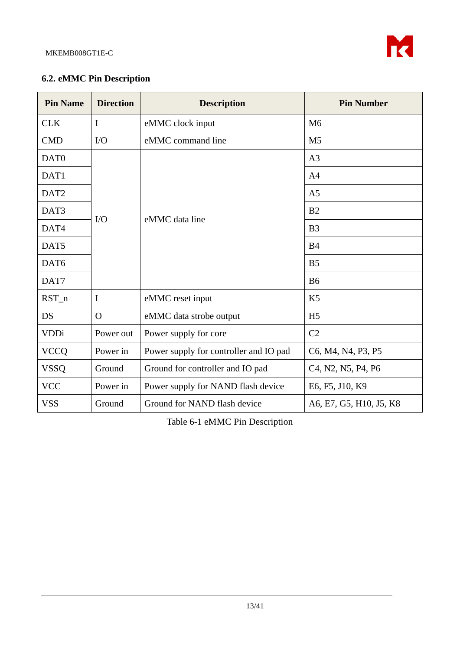

# <span id="page-12-0"></span>**6.2. eMMC Pin Description**

| <b>Pin Name</b>  | <b>Direction</b> | <b>Description</b>                     | <b>Pin Number</b>                                                                  |
|------------------|------------------|----------------------------------------|------------------------------------------------------------------------------------|
| <b>CLK</b>       | $\mathbf I$      | eMMC clock input                       | M <sub>6</sub>                                                                     |
| <b>CMD</b>       | $\rm LO$         | eMMC command line                      | M <sub>5</sub>                                                                     |
| DAT <sub>0</sub> |                  |                                        | A <sub>3</sub>                                                                     |
| DAT1             |                  |                                        | A <sub>4</sub>                                                                     |
| DAT <sub>2</sub> |                  |                                        | A <sub>5</sub>                                                                     |
| DAT3             |                  | eMMC data line                         | B <sub>2</sub>                                                                     |
| DAT4             | $\rm LO$         |                                        | B <sub>3</sub>                                                                     |
| DAT5             |                  |                                        | B <sub>4</sub>                                                                     |
| DAT6             |                  |                                        | B <sub>5</sub>                                                                     |
| DAT7             |                  |                                        | <b>B6</b>                                                                          |
| $RST_n$          | I                | eMMC reset input                       | K <sub>5</sub>                                                                     |
| DS               | $\Omega$         | eMMC data strobe output                | H <sub>5</sub>                                                                     |
| <b>VDDi</b>      | Power out        | Power supply for core                  | C <sub>2</sub>                                                                     |
| <b>VCCQ</b>      | Power in         | Power supply for controller and IO pad | C6, M4, N4, P3, P5                                                                 |
| <b>VSSQ</b>      | Ground           | Ground for controller and IO pad       | C <sub>4</sub> , N <sub>2</sub> , N <sub>5</sub> , P <sub>4</sub> , P <sub>6</sub> |
| <b>VCC</b>       | Power in         | Power supply for NAND flash device     | E6, F5, J10, K9                                                                    |
| <b>VSS</b>       | Ground           | Ground for NAND flash device           | A6, E7, G5, H10, J5, K8                                                            |

<span id="page-12-1"></span>Table 6-1 eMMC Pin Description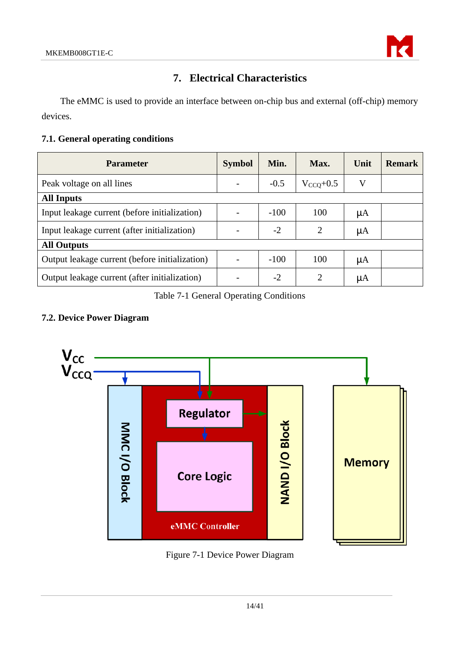

# **7. Electrical Characteristics**

<span id="page-13-0"></span>The eMMC is used to provide an interface between on-chip bus and external (off-chip) memory devices.

### <span id="page-13-1"></span>**7.1. General operating conditions**

| <b>Parameter</b>                               | <b>Symbol</b> | Min.   | Max.           | Unit | <b>Remark</b> |
|------------------------------------------------|---------------|--------|----------------|------|---------------|
| Peak voltage on all lines                      |               | $-0.5$ | $V_{CCO}+0.5$  | V    |               |
| <b>All Inputs</b>                              |               |        |                |      |               |
| Input leakage current (before initialization)  |               | $-100$ | 100            | μA   |               |
| Input leakage current (after initialization)   |               | $-2$   | $\overline{2}$ | μA   |               |
| <b>All Outputs</b>                             |               |        |                |      |               |
| Output leakage current (before initialization) |               | $-100$ | 100            | μA   |               |
| Output leakage current (after initialization)  |               | $-2$   | $\overline{2}$ | μA   |               |

### Table 7-1 General Operating Conditions

# <span id="page-13-4"></span><span id="page-13-2"></span>**7.2. Device Power Diagram**



<span id="page-13-3"></span>Figure 7-1 Device Power Diagram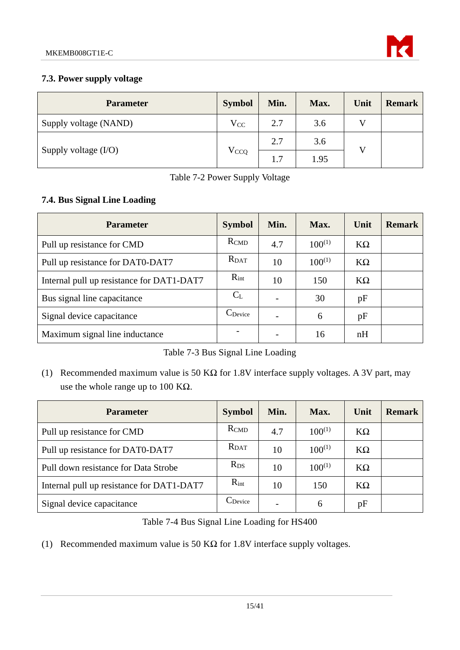

### <span id="page-14-0"></span>**7.3. Power supply voltage**

| <b>Parameter</b>       | <b>Symbol</b>          | Min. | Max. | Unit | <b>Remark</b> |
|------------------------|------------------------|------|------|------|---------------|
| Supply voltage (NAND)  | $V_{CC}$               | 2.7  | 3.6  |      |               |
|                        | <b>V<sub>CCQ</sub></b> | 2.7  | 3.6  |      |               |
| Supply voltage $(I/O)$ |                        | 1.7  | 1.95 |      |               |

| Table 7-2 Power Supply Voltage |  |  |
|--------------------------------|--|--|
|--------------------------------|--|--|

## <span id="page-14-2"></span><span id="page-14-1"></span>**7.4. Bus Signal Line Loading**

| <b>Parameter</b>                          | <b>Symbol</b>       | Min. | Max.        | Unit      | <b>Remark</b> |
|-------------------------------------------|---------------------|------|-------------|-----------|---------------|
| Pull up resistance for CMD                | RCMD                | 4.7  | $100^{(1)}$ | $K\Omega$ |               |
| Pull up resistance for DAT0-DAT7          | <b>R</b> DAT        | 10   | $100^{(1)}$ | $K\Omega$ |               |
| Internal pull up resistance for DAT1-DAT7 | $R_{int}$           | 10   | 150         | $K\Omega$ |               |
| Bus signal line capacitance               | $C_{L}$             |      | 30          | pF        |               |
| Signal device capacitance                 | $C_{\text{Device}}$ |      | 6           | pF        |               |
| Maximum signal line inductance            |                     |      | 16          | nH        |               |

Table 7-3 Bus Signal Line Loading

<span id="page-14-3"></span>(1) Recommended maximum value is 50 KΩ for 1.8V interface supply voltages. A 3V part, may use the whole range up to 100 KΩ.

| <b>Parameter</b>                          | <b>Symbol</b>       | Min.                     | Max.        | Unit      | <b>Remark</b> |
|-------------------------------------------|---------------------|--------------------------|-------------|-----------|---------------|
| Pull up resistance for CMD                | <b>R</b> CMD        | 4.7                      | $100^{(1)}$ | $K\Omega$ |               |
| Pull up resistance for DAT0-DAT7          | <b>R</b> DAT        | 10                       | $100^{(1)}$ | $K\Omega$ |               |
| Pull down resistance for Data Strobe      | $R_{DS}$            | 10                       | $100^{(1)}$ | $K\Omega$ |               |
| Internal pull up resistance for DAT1-DAT7 | $R_{int}$           | 10                       | 150         | $K\Omega$ |               |
| Signal device capacitance                 | $C_{\text{Device}}$ | $\overline{\phantom{0}}$ | 6           | pF        |               |

Table 7-4 Bus Signal Line Loading for HS400

<span id="page-14-4"></span>(1) Recommended maximum value is 50 K $\Omega$  for 1.8V interface supply voltages.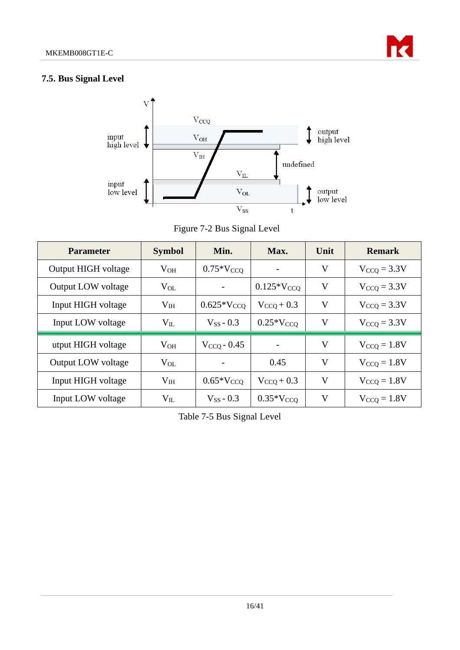

### <span id="page-15-0"></span>**7.5. Bus Signal Level**



Figure 7-2 Bus Signal Level

<span id="page-15-1"></span>

| <b>Parameter</b>    | <b>Symbol</b>   | Min.            | Max.            | Unit | <b>Remark</b>    |
|---------------------|-----------------|-----------------|-----------------|------|------------------|
| Output HIGH voltage | $V_{OH}$        | $0.75*V_{CCO}$  |                 | V    | $V_{CCO} = 3.3V$ |
| Output LOW voltage  | $V_{OL}$        |                 | $0.125*V_{CCQ}$ | V    | $V_{CCO} = 3.3V$ |
| Input HIGH voltage  | V <sub>IH</sub> | $0.625*V_{CCO}$ | $V_{CCO}$ + 0.3 | V    | $V_{CCO} = 3.3V$ |
| Input LOW voltage   | $V_{IL}$        | $V_{SS}$ - 0.3  | $0.25*V_{CCO}$  | V    | $V_{CCO} = 3.3V$ |
| utput HIGH voltage  | $V_{OH}$        | $VCCO - 0.45$   |                 | V    | $V_{CCO} = 1.8V$ |
| Output LOW voltage  | $V_{OL}$        |                 | 0.45            | V    | $V_{CCQ} = 1.8V$ |
| Input HIGH voltage  | V <sub>IH</sub> | $0.65*V_{CCO}$  | $V_{CCO}$ + 0.3 | V    | $V_{CCO} = 1.8V$ |
| Input LOW voltage   | $V_{IL}$        | $V_{SS}$ - 0.3  | $0.35*V_{CCO}$  | V    | $V_{CCO} = 1.8V$ |

<span id="page-15-2"></span>Table 7-5 Bus Signal Level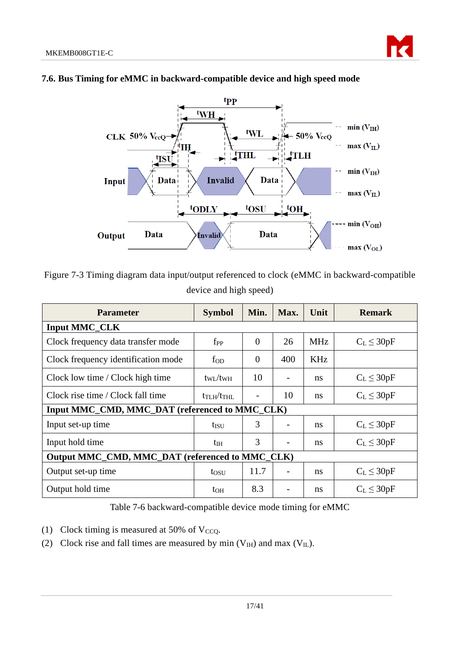

#### <span id="page-16-0"></span>**7.6. Bus Timing for eMMC in backward-compatible device and high speed mode**

<span id="page-16-1"></span>Figure 7-3 Timing diagram data input/output referenced to clock (eMMC in backward-compatible device and high speed)

| <b>Parameter</b>                                | <b>Symbol</b>           | Min.           | Max. | Unit       | <b>Remark</b>   |  |  |  |
|-------------------------------------------------|-------------------------|----------------|------|------------|-----------------|--|--|--|
| <b>Input MMC_CLK</b>                            |                         |                |      |            |                 |  |  |  |
| Clock frequency data transfer mode              | $f_{PP}$                | $\overline{0}$ | 26   | <b>MHz</b> | $C_L \leq 30pF$ |  |  |  |
| Clock frequency identification mode             | fop                     | $\overline{0}$ | 400  | KHz        |                 |  |  |  |
| Clock low time / Clock high time                | $t_{\rm WI}/t_{\rm WH}$ | 10             |      | ns         | $C_L \leq 30pF$ |  |  |  |
| Clock rise time / Clock fall time               | $t_{TLH}/t_{THL}$       |                | 10   | ns         | $C_L \leq 30pF$ |  |  |  |
| Input MMC CMD, MMC DAT (referenced to MMC CLK)  |                         |                |      |            |                 |  |  |  |
| Input set-up time                               | $t_{\rm ISU}$           | 3              |      | ns         | $C_L \leq 30pF$ |  |  |  |
| Input hold time                                 | t <sub>IH</sub>         | 3              |      | ns         | $C_L \leq 30pF$ |  |  |  |
| Output MMC_CMD, MMC_DAT (referenced to MMC_CLK) |                         |                |      |            |                 |  |  |  |
| Output set-up time                              | tosu                    | 11.7           |      | ns         | $C_L \leq 30pF$ |  |  |  |
| Output hold time                                | to <sub>H</sub>         | 8.3            |      | ns         | $C_L \leq 30pF$ |  |  |  |

Table 7-6 backward-compatible device mode timing for eMMC

- <span id="page-16-2"></span>(1) Clock timing is measured at 50% of  $V_{CCQ}$ .
- (2) Clock rise and fall times are measured by min  $(V<sub>IH</sub>)$  and max  $(V<sub>II</sub>)$ .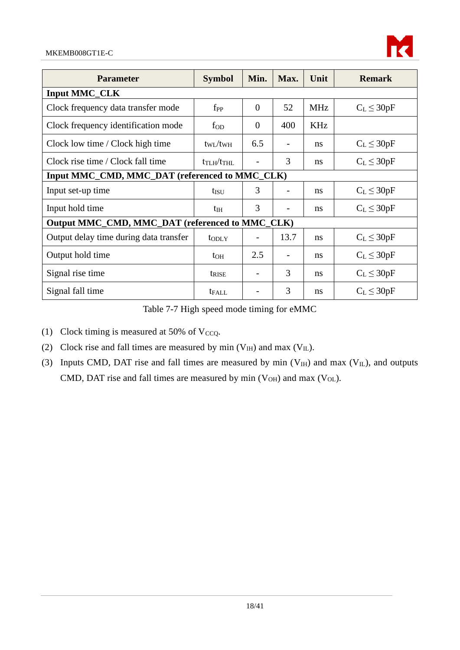

| <b>Parameter</b>                                | <b>Symbol</b>              | Min.           | Max. | Unit       | <b>Remark</b>   |  |  |
|-------------------------------------------------|----------------------------|----------------|------|------------|-----------------|--|--|
| <b>Input MMC_CLK</b>                            |                            |                |      |            |                 |  |  |
| Clock frequency data transfer mode              | $f_{PP}$                   | $\overline{0}$ | 52   | <b>MHz</b> | $C_L \leq 30pF$ |  |  |
| Clock frequency identification mode             | $f_{OD}$                   | $\Omega$       | 400  | <b>KHz</b> |                 |  |  |
| Clock low time / Clock high time                | $t_{\rm WL}/t_{\rm WH}$    | 6.5            |      | ns         | $C_L \leq 30pF$ |  |  |
| Clock rise time / Clock fall time               | $t_{\rm T LH}/t_{\rm THL}$ |                | 3    | ns         | $C_L \leq 30pF$ |  |  |
| Input MMC_CMD, MMC_DAT (referenced to MMC_CLK)  |                            |                |      |            |                 |  |  |
| Input set-up time                               | tisu                       | 3              |      | ns         | $C_L \leq 30pF$ |  |  |
| Input hold time                                 | $t_{\rm IH}$               | 3              |      | ns         | $C_L \leq 30pF$ |  |  |
| Output MMC_CMD, MMC_DAT (referenced to MMC_CLK) |                            |                |      |            |                 |  |  |
| Output delay time during data transfer          | t <sub>od</sub> y          |                | 13.7 | ns         | $C_L \leq 30pF$ |  |  |
| Output hold time                                | $t_{OH}$                   | 2.5            |      | ns         | $C_L \leq 30pF$ |  |  |
| Signal rise time                                | t <sub>rise</sub>          |                | 3    | ns         | $C_L \leq 30pF$ |  |  |
| Signal fall time                                | t <sub>FALL</sub>          |                | 3    | ns         | $C_L \leq 30pF$ |  |  |

Table 7-7 High speed mode timing for eMMC

<span id="page-17-0"></span>(1) Clock timing is measured at 50% of  $V_{CCQ}$ .

- (2) Clock rise and fall times are measured by min  $(V_{IH})$  and max  $(V_{IL})$ .
- (3) Inputs CMD, DAT rise and fall times are measured by min  $(V_{IH})$  and max  $(V_{IL})$ , and outputs CMD, DAT rise and fall times are measured by min  $(V<sub>OH</sub>)$  and max  $(V<sub>OL</sub>)$ .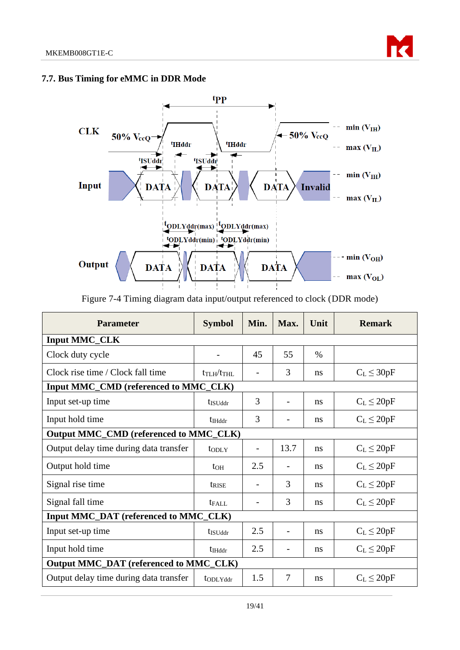

#### <span id="page-18-0"></span>**7.7. Bus Timing for eMMC in DDR Mode**



Figure 7-4 Timing diagram data input/output referenced to clock (DDR mode)

<span id="page-18-1"></span>

| <b>Parameter</b>                              | <b>Symbol</b>                   | Min. | Max.                     | Unit          | <b>Remark</b>   |  |  |
|-----------------------------------------------|---------------------------------|------|--------------------------|---------------|-----------------|--|--|
| <b>Input MMC_CLK</b>                          |                                 |      |                          |               |                 |  |  |
| Clock duty cycle                              |                                 | 45   | 55                       | $\frac{0}{0}$ |                 |  |  |
| Clock rise time / Clock fall time             | $t_{\text{TLH}}/t_{\text{THL}}$ |      | 3                        | ns            | $C_L \leq 30pF$ |  |  |
| Input MMC_CMD (referenced to MMC_CLK)         |                                 |      |                          |               |                 |  |  |
| Input set-up time                             | t <sub>ISUddr</sub>             | 3    | $\overline{\phantom{a}}$ | ns            | $C_L \leq 20pF$ |  |  |
| Input hold time                               | t <sub>IHddr</sub>              | 3    |                          | ns            | $C_L \leq 20pF$ |  |  |
| <b>Output MMC_CMD (referenced to MMC_CLK)</b> |                                 |      |                          |               |                 |  |  |
| Output delay time during data transfer        | toply                           |      | 13.7                     | ns            | $C_L \leq 20pF$ |  |  |
| Output hold time                              | $t_{OH}$                        | 2.5  |                          | ns            | $C_L \leq 20pF$ |  |  |
| Signal rise time                              | trise                           |      | 3                        | ns            | $C_L \leq 20pF$ |  |  |
| Signal fall time                              | $t_{FAIL}$                      |      | 3                        | ns            | $C_L \leq 20pF$ |  |  |
| Input MMC_DAT (referenced to MMC_CLK)         |                                 |      |                          |               |                 |  |  |
| Input set-up time                             | t <sub>ISUddr</sub>             | 2.5  | $\overline{\phantom{a}}$ | ns            | $C_L \leq 20pF$ |  |  |
| Input hold time                               | <b>t</b> <sub>IHddr</sub>       | 2.5  |                          | ns            | $C_L \leq 20pF$ |  |  |
| Output MMC_DAT (referenced to MMC_CLK)        |                                 |      |                          |               |                 |  |  |
| Output delay time during data transfer        | to DL Yddr                      | 1.5  | $\overline{7}$           | ns            | $C_L \leq 20pF$ |  |  |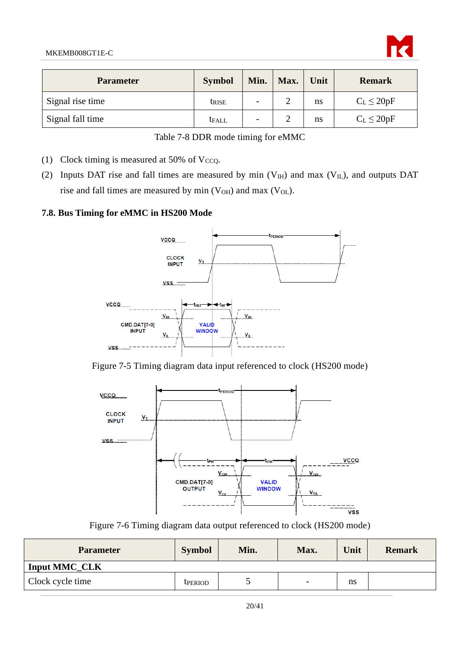

| <b>Parameter</b> | <b>Symbol</b> | Min.                     | Max. | Unit | <b>Remark</b>   |
|------------------|---------------|--------------------------|------|------|-----------------|
| Signal rise time | trise         | $\overline{\phantom{a}}$ |      | ns   | $C_L \leq 20pF$ |
| Signal fall time | <b>t</b> FALL | $\overline{\phantom{0}}$ | ∸    | ns   | $C_L \leq 20pF$ |

|  |  |  | Table 7-8 DDR mode timing for eMMC |
|--|--|--|------------------------------------|
|  |  |  |                                    |

- <span id="page-19-3"></span>(1) Clock timing is measured at 50% of V $ccQ$ .
- (2) Inputs DAT rise and fall times are measured by min  $(V_H)$  and max  $(V_L)$ , and outputs DAT rise and fall times are measured by min  $(V<sub>OH</sub>)$  and max  $(V<sub>OL</sub>)$ .

#### <span id="page-19-0"></span>**7.8. Bus Timing for eMMC in HS200 Mode**



<span id="page-19-1"></span>



Figure 7-6 Timing diagram data output referenced to clock (HS200 mode)

<span id="page-19-2"></span>

| <b>Parameter</b>     | <b>Symbol</b>  | Min. | Max. | Unit | <b>Remark</b> |
|----------------------|----------------|------|------|------|---------------|
| <b>Input MMC CLK</b> |                |      |      |      |               |
| Clock cycle time     | <b>TPERIOD</b> | ັ    | -    | ns   |               |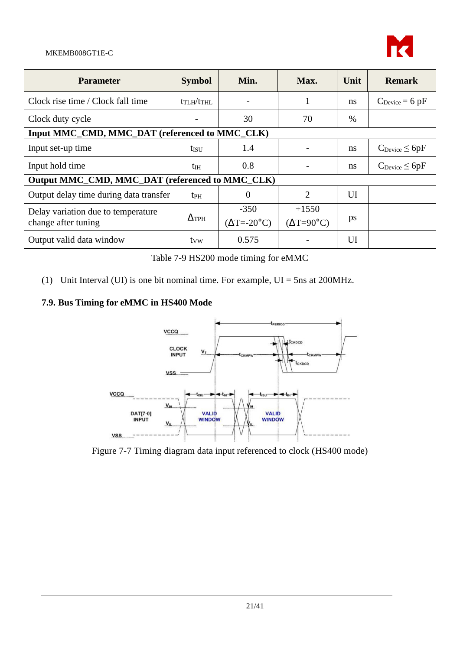#### MKEMB008GT1E-C



| <b>Parameter</b>                                          | <b>Symbol</b>                      | Min.                            | Max.                                  | Unit | <b>Remark</b>                      |  |
|-----------------------------------------------------------|------------------------------------|---------------------------------|---------------------------------------|------|------------------------------------|--|
| Clock rise time / Clock fall time                         | tr <sub>LH</sub> /tr <sub>HL</sub> |                                 | $\mathbf{I}$                          | ns   | $C_{\text{Device}} = 6 \text{ pF}$ |  |
| Clock duty cycle                                          |                                    | 30                              | 70                                    | $\%$ |                                    |  |
| Input MMC_CMD, MMC_DAT (referenced to MMC_CLK)            |                                    |                                 |                                       |      |                                    |  |
| Input set-up time                                         | tisu                               | 1.4                             |                                       | ns   | $C_{\text{Device}} \leq 6pF$       |  |
| Input hold time                                           | $t_{\rm IH}$                       | 0.8                             |                                       | ns   | $C_{\text{Device}} \leq 6pF$       |  |
| Output MMC_CMD, MMC_DAT (referenced to MMC_CLK)           |                                    |                                 |                                       |      |                                    |  |
| Output delay time during data transfer                    | <b>t</b> <sub>PH</sub>             | $\theta$                        | $\overline{2}$                        | UI   |                                    |  |
| Delay variation due to temperature<br>change after tuning | $\Delta_{\rm TPH}$                 | $-350$<br>$(\Delta T = -20$ °C) | $+1550$<br>$(\Delta T = 90^{\circ}C)$ | ps   |                                    |  |
| Output valid data window                                  | tyw                                | 0.575                           |                                       | UI   |                                    |  |

Table 7-9 HS200 mode timing for eMMC

<span id="page-20-2"></span>(1) Unit Interval (UI) is one bit nominal time. For example,  $UI = 5$ ns at 200MHz.

# <span id="page-20-0"></span>**7.9. Bus Timing for eMMC in HS400 Mode**



<span id="page-20-1"></span>Figure 7-7 Timing diagram data input referenced to clock (HS400 mode)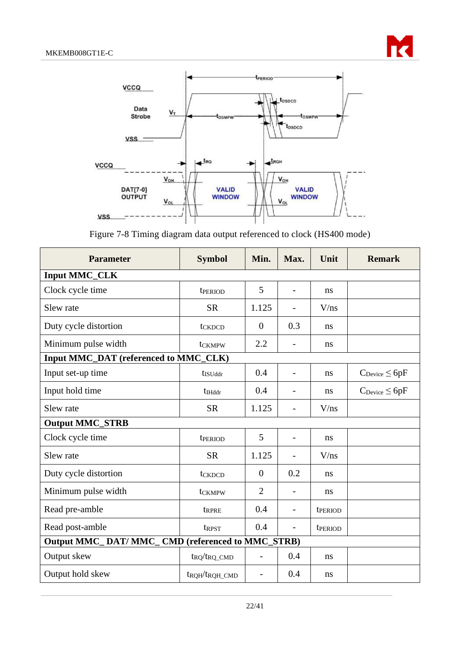



Figure 7-8 Timing diagram data output referenced to clock (HS400 mode)

<span id="page-21-0"></span>

| <b>Parameter</b>                                | <b>Symbol</b>                          | Min.           | Max.                     | Unit    | <b>Remark</b>                |  |
|-------------------------------------------------|----------------------------------------|----------------|--------------------------|---------|------------------------------|--|
| <b>Input MMC_CLK</b>                            |                                        |                |                          |         |                              |  |
| Clock cycle time                                | tperiod                                | 5              | $\overline{a}$           | ns      |                              |  |
| Slew rate                                       | <b>SR</b>                              | 1.125          |                          | V/ns    |                              |  |
| Duty cycle distortion                           | tckDCD                                 | $\theta$       | 0.3                      | ns      |                              |  |
| Minimum pulse width                             | t <sub>CKMPW</sub>                     | 2.2            |                          | ns      |                              |  |
| Input MMC_DAT (referenced to MMC_CLK)           |                                        |                |                          |         |                              |  |
| Input set-up time                               | t <sub>ISUddr</sub>                    | 0.4            |                          | ns      | $C_{\text{Device}} \leq 6pF$ |  |
| Input hold time                                 | $t_{Hddr}$                             | 0.4            |                          | ns      | $C_{\text{Device}} \leq 6pF$ |  |
| Slew rate                                       | <b>SR</b>                              | 1.125          |                          | V/ns    |                              |  |
| <b>Output MMC_STRB</b>                          |                                        |                |                          |         |                              |  |
| Clock cycle time                                | t <sub>period</sub>                    | 5              | $\overline{\phantom{a}}$ | ns      |                              |  |
| Slew rate                                       | <b>SR</b>                              | 1.125          |                          | V/ns    |                              |  |
| Duty cycle distortion                           | tckDCD                                 | $\overline{0}$ | 0.2                      | ns      |                              |  |
| Minimum pulse width                             | t <sub>CKMPW</sub>                     | $\overline{2}$ |                          | ns      |                              |  |
| Read pre-amble                                  | tRPRE                                  | 0.4            |                          | tperiod |                              |  |
| Read post-amble                                 | trpst                                  | 0.4            | $\overline{\phantom{0}}$ | tperiod |                              |  |
| Output MMC_DAT/MMC_CMD (referenced to MMC_STRB) |                                        |                |                          |         |                              |  |
| Output skew                                     | $t_{RQ}/t_{RQ\_CMD}$                   | $\overline{a}$ | 0.4                      | ns      |                              |  |
| Output hold skew                                | t <sub>RQH</sub> /t <sub>RQH_CMD</sub> | $\overline{a}$ | 0.4                      | ns      |                              |  |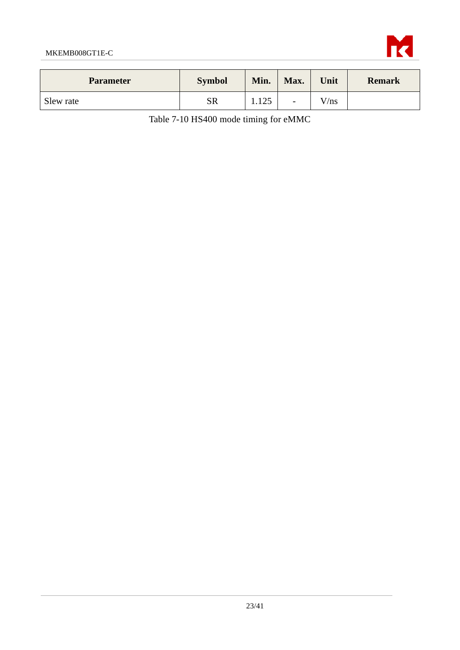

<span id="page-22-0"></span>

| <b>Parameter</b> | <b>Symbol</b> | Min.         | Max.                     | Unit | <b>Remark</b> |
|------------------|---------------|--------------|--------------------------|------|---------------|
| Slew rate        | SR            | 125<br>1.12J | $\overline{\phantom{a}}$ | V/ns |               |

Table 7-10 HS400 mode timing for eMMC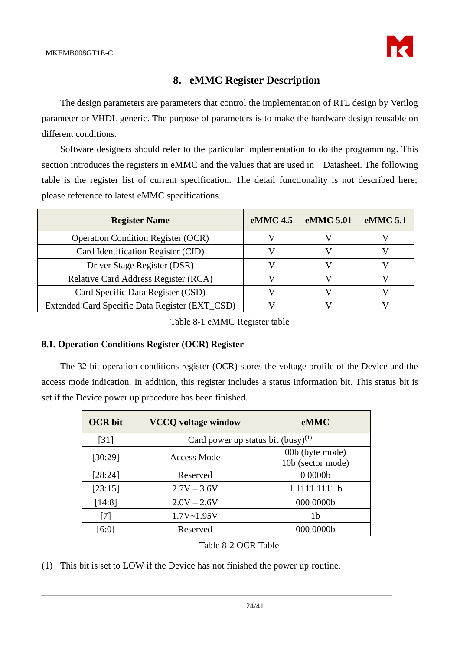

# **8. eMMC Register Description**

<span id="page-23-0"></span>The design parameters are parameters that control the implementation of RTL design by Verilog parameter or VHDL generic. The purpose of parameters is to make the hardware design reusable on different conditions.

Software designers should refer to the particular implementation to do the programming. This section introduces the registers in eMMC and the values that are used in Datasheet. The following table is the register list of current specification. The detail functionality is not described here; please reference to latest eMMC specifications.

| <b>Register Name</b>                           | eMMC 4.5 | eMMC 5.01 | eMMC 5.1 |
|------------------------------------------------|----------|-----------|----------|
| <b>Operation Condition Register (OCR)</b>      |          |           |          |
| Card Identification Register (CID)             |          |           |          |
| Driver Stage Register (DSR)                    |          |           |          |
| <b>Relative Card Address Register (RCA)</b>    |          |           |          |
| Card Specific Data Register (CSD)              |          |           |          |
| Extended Card Specific Data Register (EXT_CSD) |          |           |          |

Table 8-1 eMMC Register table

#### <span id="page-23-2"></span><span id="page-23-1"></span>**8.1. Operation Conditions Register (OCR) Register**

The 32-bit operation conditions register (OCR) stores the voltage profile of the Device and the access mode indication. In addition, this register includes a status information bit. This status bit is set if the Device power up procedure has been finished.

| <b>OCR</b> bit     | <b>VCCQ</b> voltage window              | <b>eMMC</b>                          |  |  |  |
|--------------------|-----------------------------------------|--------------------------------------|--|--|--|
| $\lceil 31 \rceil$ | Card power up status bit $(busy)^{(1)}$ |                                      |  |  |  |
| [30:29]            | Access Mode                             | 00b (byte mode)<br>10b (sector mode) |  |  |  |
| [28:24]            | Reserved                                | 00000 <sub>b</sub>                   |  |  |  |
| [23:15]            | $2.7V - 3.6V$                           | 1 1111 1111 h                        |  |  |  |
| [14:8]             | $2.0V - 2.6V$                           | 000 0000b                            |  |  |  |
| [7]                | $1.7V - 1.95V$                          | 1b                                   |  |  |  |
| [6:0]              | Reserved                                | 000 0000b                            |  |  |  |

#### Table 8-2 OCR Table

<span id="page-23-3"></span>(1) This bit is set to LOW if the Device has not finished the power up routine.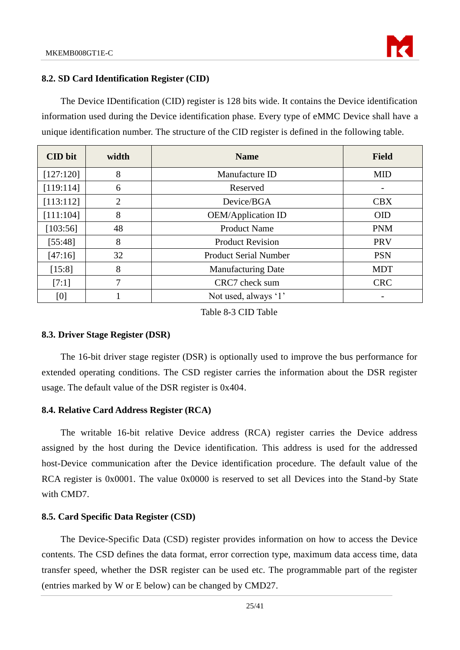

#### <span id="page-24-0"></span>**8.2. SD Card Identification Register (CID)**

The Device IDentification (CID) register is 128 bits wide. It contains the Device identification information used during the Device identification phase. Every type of eMMC Device shall have a unique identification number. The structure of the CID register is defined in the following table.

| <b>CID</b> bit | width          | <b>Name</b>                  | <b>Field</b> |
|----------------|----------------|------------------------------|--------------|
| [127:120]      | 8              | Manufacture ID               | <b>MID</b>   |
| [119:114]      | 6              | Reserved                     |              |
| [113:112]      | $\overline{2}$ | Device/BGA                   | <b>CBX</b>   |
| [111:104]      | 8              | <b>OEM/Application ID</b>    | <b>OID</b>   |
| [103:56]       | 48             | <b>Product Name</b>          | <b>PNM</b>   |
| [55:48]        | 8              | <b>Product Revision</b>      | PRV          |
| [47:16]        | 32             | <b>Product Serial Number</b> | <b>PSN</b>   |
| [15:8]         | 8              | <b>Manufacturing Date</b>    | <b>MDT</b>   |
| [7:1]          | 7              | CRC7 check sum               | <b>CRC</b>   |
| [0]            |                | Not used, always '1'         |              |

Table 8-3 CID Table

#### <span id="page-24-4"></span><span id="page-24-1"></span>**8.3. Driver Stage Register (DSR)**

The 16-bit driver stage register (DSR) is optionally used to improve the bus performance for extended operating conditions. The CSD register carries the information about the DSR register usage. The default value of the DSR register is 0x404.

#### <span id="page-24-2"></span>**8.4. Relative Card Address Register (RCA)**

The writable 16-bit relative Device address (RCA) register carries the Device address assigned by the host during the Device identification. This address is used for the addressed host-Device communication after the Device identification procedure. The default value of the RCA register is 0x0001. The value 0x0000 is reserved to set all Devices into the Stand-by State with CMD7.

#### <span id="page-24-3"></span>**8.5. Card Specific Data Register (CSD)**

The Device-Specific Data (CSD) register provides information on how to access the Device contents. The CSD defines the data format, error correction type, maximum data access time, data transfer speed, whether the DSR register can be used etc. The programmable part of the register (entries marked by W or E below) can be changed by CMD27.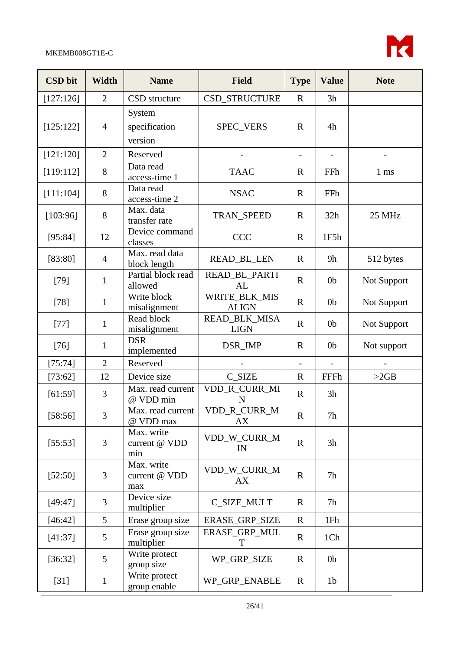

| <b>CSD</b> bit | <b>Width</b>   | <b>Name</b>                        | <b>Field</b>                        | <b>Type</b>              | <b>Value</b>   | <b>Note</b>              |
|----------------|----------------|------------------------------------|-------------------------------------|--------------------------|----------------|--------------------------|
| [127:126]      | $\overline{2}$ | CSD structure                      | CSD_STRUCTURE                       | $\mathbf R$              | 3h             |                          |
| [125:122]      | $\overline{4}$ | System<br>specification<br>version | SPEC_VERS                           | $\mathbf R$              | 4h             |                          |
| [121:120]      | $\overline{2}$ | Reserved                           |                                     | $\overline{\phantom{a}}$ |                | $\overline{\phantom{a}}$ |
| [119:112]      | 8              | Data read<br>access-time 1         | <b>TAAC</b>                         | $\mathbf R$              | FFh            | $1 \text{ ms}$           |
| [111:104]      | $8\,$          | Data read<br>access-time 2         | <b>NSAC</b>                         | $\mathbf R$              | FFh            |                          |
| [103:96]       | $8\,$          | Max. data<br>transfer rate         | <b>TRAN_SPEED</b>                   | $\mathbf R$              | 32h            | 25 MHz                   |
| [95:84]        | 12             | Device command<br>classes          | <b>CCC</b>                          | $\mathbf R$              | 1F5h           |                          |
| [83:80]        | $\overline{4}$ | Max. read data<br>block length     | <b>READ_BL_LEN</b>                  | $\mathbf R$              | 9h             | 512 bytes                |
| $[79]$         | $\mathbf{1}$   | Partial block read<br>allowed      | READ_BL_PARTI<br>AL                 | $\mathbf R$              | 0 <sub>b</sub> | Not Support              |
| $[78]$         | $\mathbf{1}$   | Write block<br>misalignment        | WRITE_BLK_MIS<br><b>ALIGN</b>       | $\mathbf R$              | 0 <sub>b</sub> | Not Support              |
| $[77]$         | $\mathbf{1}$   | Read block<br>misalignment         | <b>READ_BLK_MISA</b><br><b>LIGN</b> | $\mathbf R$              | 0 <sub>b</sub> | Not Support              |
| $[76]$         | $\mathbf{1}$   | <b>DSR</b><br>implemented          | DSR_IMP                             | $\mathbf R$              | 0 <sub>b</sub> | Not support              |
| [75:74]        | $\overline{2}$ | Reserved                           |                                     | $\blacksquare$           |                |                          |
| [73:62]        | 12             | Device size                        | C_SIZE                              | $\mathbf R$              | FFFh           | >2GB                     |
| [61:59]        | 3              | Max. read current<br>@ VDD min     | VDD_R_CURR_MI<br>$\mathbf N$        | $\mathbf R$              | 3h             |                          |
| [58:56]        | 3              | Max. read current<br>@ VDD max     | VDD_R_CURR_M<br><b>AX</b>           | ${\bf R}$                | $7\mathrm{h}$  |                          |
| [55:53]        | 3              | Max. write<br>current @ VDD<br>min | VDD_W_CURR_M<br>IN                  | $\mathbf R$              | 3h             |                          |
| [52:50]        | 3              | Max. write<br>current @ VDD<br>max | VDD_W_CURR_M<br>AX                  | $\mathbf R$              | 7h             |                          |
| [49:47]        | 3              | Device size<br>multiplier          | C_SIZE_MULT                         | $\mathbf R$              | 7h             |                          |
| [46:42]        | 5              | Erase group size                   | ERASE_GRP_SIZE                      | $\mathbf R$              | 1Fh            |                          |
| [41:37]        | 5              | Erase group size<br>multiplier     | ERASE_GRP_MUL<br>T                  | $\mathbf R$              | 1Ch            |                          |
| [36:32]        | 5              | Write protect<br>group size        | WP_GRP_SIZE                         | $\mathbf R$              | 0h             |                          |
| $[31]$         | $\mathbf{1}$   | Write protect<br>group enable      | WP_GRP_ENABLE                       | $\mathbf R$              | 1 <sub>b</sub> |                          |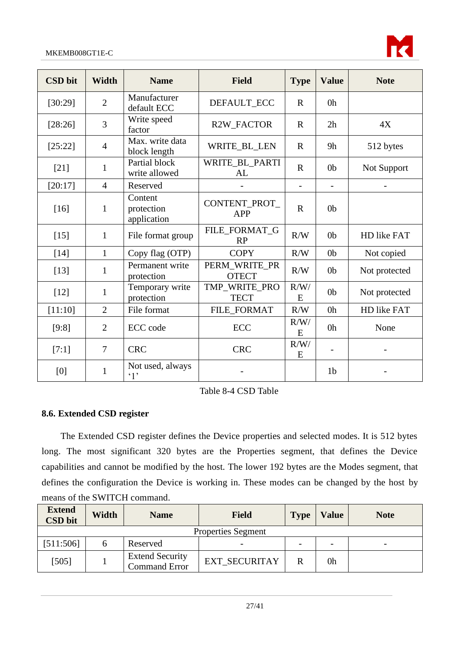

| <b>CSD</b> bit | Width          | <b>Name</b>                          | <b>Field</b>                  | <b>Type</b>              | <b>Value</b>             | <b>Note</b>   |
|----------------|----------------|--------------------------------------|-------------------------------|--------------------------|--------------------------|---------------|
| [30:29]        | $\overline{2}$ | Manufacturer<br>default ECC          | DEFAULT_ECC                   | $\mathbf{R}$             | 0 <sub>h</sub>           |               |
| [28:26]        | 3              | Write speed<br>factor                | R2W_FACTOR                    | $\mathbf R$              | 2h                       | 4X            |
| [25:22]        | $\overline{4}$ | Max. write data<br>block length      | WRITE_BL_LEN                  | $\mathbf R$              | 9h                       | 512 bytes     |
| $[21]$         | $\mathbf{1}$   | Partial block<br>write allowed       | WRITE_BL_PARTI<br>AL          | $\mathbb{R}$             | 0 <sub>b</sub>           | Not Support   |
| [20:17]        | $\overline{4}$ | Reserved                             |                               | $\overline{\phantom{0}}$ | $\overline{\phantom{a}}$ |               |
| $[16]$         | $\mathbf{1}$   | Content<br>protection<br>application | CONTENT_PROT_<br><b>APP</b>   | $\mathbf{R}$             | 0 <sub>b</sub>           |               |
| $[15]$         | $\mathbf{1}$   | File format group                    | FILE_FORMAT_G<br>RP           | R/W                      | 0 <sub>b</sub>           | HD like FAT   |
| $[14]$         | $\mathbf{1}$   | Copy flag (OTP)                      | <b>COPY</b>                   | R/W                      | 0 <sub>b</sub>           | Not copied    |
| $[13]$         | $\mathbf{1}$   | Permanent write<br>protection        | PERM_WRITE_PR<br><b>OTECT</b> | R/W                      | 0 <sub>b</sub>           | Not protected |
| $[12]$         | $\mathbf{1}$   | Temporary write<br>protection        | TMP_WRITE_PRO<br><b>TECT</b>  | R/W/<br>E                | 0 <sub>b</sub>           | Not protected |
| [11:10]        | $\overline{2}$ | File format                          | FILE_FORMAT                   | R/W                      | 0h                       | HD like FAT   |
| [9:8]          | $\overline{2}$ | ECC code                             | <b>ECC</b>                    | R/W/<br>E                | 0h                       | None          |
| [7:1]          | 7              | <b>CRC</b>                           | <b>CRC</b>                    | R/W/<br>E                |                          |               |
| [0]            | $\mathbf{1}$   | Not used, always<br>$\cdot_1$ ,      |                               |                          | 1 <sub>b</sub>           |               |

Table 8-4 CSD Table

### <span id="page-26-1"></span><span id="page-26-0"></span>**8.6. Extended CSD register**

The Extended CSD register defines the Device properties and selected modes. It is 512 bytes long. The most significant 320 bytes are the Properties segment, that defines the Device capabilities and cannot be modified by the host. The lower 192 bytes are the Modes segment, that defines the configuration the Device is working in. These modes can be changed by the host by means of the SWITCH command.

| <b>Extend</b><br><b>CSD</b> bit | Width | <b>Name</b>                                    | <b>Field</b>         | <b>Type</b> | <b>Value</b>             | <b>Note</b>              |  |
|---------------------------------|-------|------------------------------------------------|----------------------|-------------|--------------------------|--------------------------|--|
| <b>Properties Segment</b>       |       |                                                |                      |             |                          |                          |  |
| [511:506]                       |       | Reserved                                       | -                    |             | $\overline{\phantom{0}}$ | $\overline{\phantom{0}}$ |  |
| $[505]$                         |       | <b>Extend Security</b><br><b>Command Error</b> | <b>EXT SECURITAY</b> |             | 0h                       |                          |  |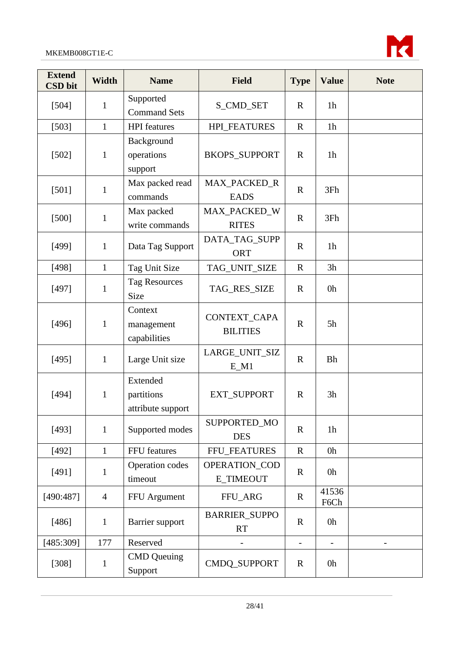

| <b>Extend</b><br><b>CSD</b> bit | <b>Width</b>   | <b>Name</b>                                 | <b>Field</b>                             | <b>Type</b>              | <b>Value</b>   | <b>Note</b> |
|---------------------------------|----------------|---------------------------------------------|------------------------------------------|--------------------------|----------------|-------------|
| [504]                           | $\mathbf{1}$   | Supported<br><b>Command Sets</b>            | S_CMD_SET                                | $\mathbf R$              | 1 <sub>h</sub> |             |
| [503]                           | $\mathbf{1}$   | <b>HPI</b> features                         | <b>HPI_FEATURES</b>                      | $\mathbf R$              | 1 <sub>h</sub> |             |
| $[502]$                         | $\mathbf{1}$   | Background<br>operations<br>support         | <b>BKOPS_SUPPORT</b>                     | $\mathbf R$              | 1 <sub>h</sub> |             |
| $[501]$                         | $\mathbf{1}$   | Max packed read<br>commands                 | MAX_PACKED_R<br><b>EADS</b>              | $\mathbf R$              | 3Fh            |             |
| $[500]$                         | $\mathbf{1}$   | Max packed<br>write commands                | MAX_PACKED_W<br><b>RITES</b>             | $\mathbf R$              | 3Fh            |             |
| [499]                           | $\mathbf{1}$   | Data Tag Support                            | DATA_TAG_SUPP<br><b>ORT</b>              | $\mathbf R$              | 1 <sub>h</sub> |             |
| [498]                           | $\mathbf{1}$   | Tag Unit Size                               | TAG_UNIT_SIZE                            | $\mathbf R$              | 3h             |             |
| [497]                           | $\mathbf{1}$   | <b>Tag Resources</b><br>Size                | TAG_RES_SIZE                             | $\mathbf R$              | 0h             |             |
| [496]                           | $\mathbf{1}$   | Context<br>management<br>capabilities       | CONTEXT_CAPA<br><b>BILITIES</b>          | $\mathbf R$              | 5h             |             |
| [495]                           | $\mathbf{1}$   | Large Unit size                             | LARGE_UNIT_SIZ<br>$E_M1$                 | $\mathbf R$              | <b>Bh</b>      |             |
| [494]                           | $\mathbf{1}$   | Extended<br>partitions<br>attribute support | EXT_SUPPORT                              | $\mathbf R$              | 3h             |             |
| [493]                           | $\mathbf{1}$   | Supported modes                             | SUPPORTED_MO<br><b>DES</b>               | $\mathbf R$              | 1 <sub>h</sub> |             |
| [492]                           | $\mathbf{1}$   | FFU features                                | FFU_FEATURES                             | $\mathbf R$              | 0h             |             |
| [491]                           | 1              | Operation codes<br>timeout                  | <b>OPERATION_COD</b><br><b>E TIMEOUT</b> | $\mathbf R$              | 0h             |             |
| [490:487]                       | $\overline{4}$ | FFU Argument                                | FFU_ARG                                  | $\mathbf R$              | 41536<br>F6Ch  |             |
| [486]                           | $\mathbf{1}$   | Barrier support                             | <b>BARRIER_SUPPO</b><br><b>RT</b>        | $\mathbf R$              | 0h             |             |
| [485:309]                       | 177            | Reserved                                    |                                          | $\overline{\phantom{m}}$ |                |             |
| $[308]$                         | $\mathbf{1}$   | <b>CMD</b> Queuing<br>Support               | CMDQ_SUPPORT                             | $\mathbf R$              | 0h             |             |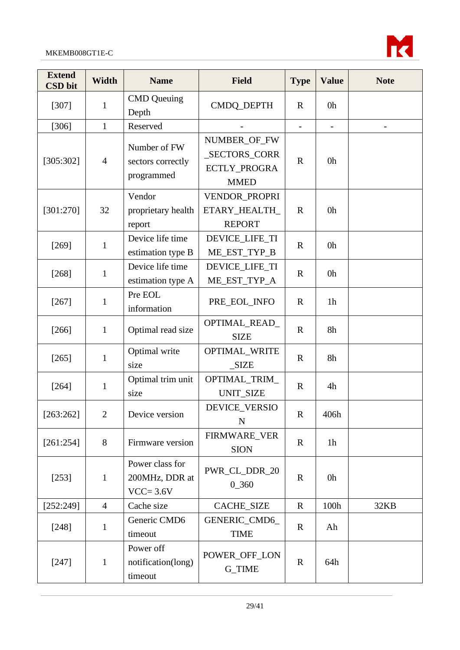

| <b>Extend</b><br><b>CSD</b> bit | Width          | <b>Name</b>                                       | <b>Field</b>                                                 | <b>Type</b>       | <b>Value</b>             | <b>Note</b>                  |
|---------------------------------|----------------|---------------------------------------------------|--------------------------------------------------------------|-------------------|--------------------------|------------------------------|
| [307]                           | 1              | <b>CMD</b> Queuing<br>Depth                       | CMDQ_DEPTH                                                   | $\mathbf R$       | 0h                       |                              |
| [306]                           | $\mathbf{1}$   | Reserved                                          |                                                              | $\qquad \qquad -$ | $\overline{\phantom{a}}$ | $\qquad \qquad \blacksquare$ |
| [305:302]                       | $\overline{4}$ | Number of FW<br>sectors correctly<br>programmed   | NUMBER_OF_FW<br>_SECTORS_CORR<br>ECTLY_PROGRA<br><b>MMED</b> | $\mathbf R$       | 0h                       |                              |
| [301:270]                       | 32             | Vendor<br>proprietary health<br>report            | VENDOR_PROPRI<br>ETARY_HEALTH_<br><b>REPORT</b>              | $\mathbf R$       | 0h                       |                              |
| [269]                           | $\mathbf{1}$   | Device life time<br>estimation type B             | DEVICE_LIFE_TI<br>ME_EST_TYP_B                               | $\mathbf R$       | 0h                       |                              |
| [268]                           | $\mathbf{1}$   | Device life time<br>estimation type A             | DEVICE_LIFE_TI<br>ME_EST_TYP_A                               | $\mathbf R$       | 0h                       |                              |
| [267]                           | $\mathbf{1}$   | Pre EOL<br>information                            | PRE_EOL_INFO                                                 | $\mathbf R$       | 1 <sub>h</sub>           |                              |
| [266]                           | $\mathbf{1}$   | Optimal read size                                 | OPTIMAL_READ_<br><b>SIZE</b>                                 | $\mathbf R$       | 8h                       |                              |
| [265]                           | $\mathbf{1}$   | Optimal write<br>size                             | OPTIMAL_WRITE<br>SIZE                                        | $\mathbf R$       | 8h                       |                              |
| [264]                           | 1              | Optimal trim unit<br>size                         | OPTIMAL_TRIM_<br><b>UNIT_SIZE</b>                            | $\mathbf R$       | 4h                       |                              |
| [263:262]                       | $\mathbf{2}$   | Device version                                    | DEVICE_VERSIO<br>${\bf N}$                                   | $\mathbf R$       | 406h                     |                              |
| [261:254]                       | 8              | Firmware version                                  | FIRMWARE_VER<br><b>SION</b>                                  | $\mathbf R$       | 1 <sub>h</sub>           |                              |
| $[253]$                         | $\mathbf{1}$   | Power class for<br>200MHz, DDR at<br>$VCC = 3.6V$ | PWR_CL_DDR_20<br>0 360                                       | $\mathbf R$       | 0h                       |                              |
| [252:249]                       | $\overline{4}$ | Cache size                                        | CACHE_SIZE                                                   | $\mathbf R$       | 100h                     | 32KB                         |
| [248]                           | $\mathbf{1}$   | Generic CMD6<br>timeout                           | GENERIC_CMD6_<br><b>TIME</b>                                 | $\mathbf R$       | Ah                       |                              |
| $[247]$                         | $\mathbf{1}$   | Power off<br>notification(long)<br>timeout        | POWER_OFF_LON<br>G_TIME                                      | $\mathbf R$       | 64h                      |                              |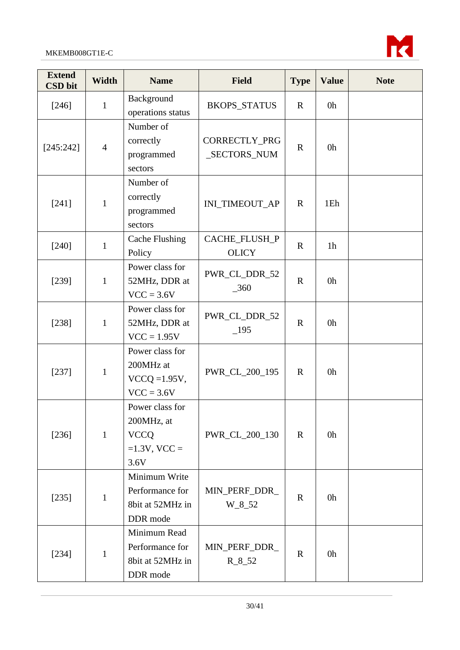

| <b>Extend</b><br><b>CSD</b> bit | Width          | <b>Name</b>                                                             | <b>Field</b>                  | <b>Type</b> | <b>Value</b>   | <b>Note</b> |
|---------------------------------|----------------|-------------------------------------------------------------------------|-------------------------------|-------------|----------------|-------------|
| [246]                           | $\mathbf{1}$   | Background<br>operations status                                         | <b>BKOPS_STATUS</b>           | $\mathbf R$ | 0h             |             |
| [245:242]                       | $\overline{4}$ | Number of<br>correctly<br>programmed<br>sectors                         | CORRECTLY_PRG<br>_SECTORS_NUM | $\mathbf R$ | 0h             |             |
| $[241]$                         | $\mathbf{1}$   | Number of<br>correctly<br>programmed<br>sectors                         | INI_TIMEOUT_AP                | $\mathbf R$ | 1Eh            |             |
| $[240]$                         | $\mathbf{1}$   | <b>Cache Flushing</b><br>Policy                                         | CACHE_FLUSH_P<br><b>OLICY</b> | $\mathbf R$ | 1 <sub>h</sub> |             |
| [239]                           | $\mathbf{1}$   | Power class for<br>52MHz, DDR at<br>$VCC = 3.6V$                        | PWR_CL_DDR_52<br>$-360$       | $\mathbf R$ | 0h             |             |
| [238]                           | $\mathbf{1}$   | Power class for<br>52MHz, DDR at<br>$VCC = 1.95V$                       | PWR_CL_DDR_52<br>$-195$       | $\mathbf R$ | 0h             |             |
| [237]                           | $\mathbf{1}$   | Power class for<br>200MHz at<br>$VCCQ = 1.95V$ ,<br>$VCC = 3.6V$        | PWR_CL_200_195                | $\mathbf R$ | 0h             |             |
| $[236]$                         | $\mathbf{1}$   | Power class for<br>200MHz, at<br><b>VCCQ</b><br>$=1.3V$ , VCC =<br>3.6V | PWR_CL_200_130                | $\mathbf R$ | 0h             |             |
| $[235]$                         | $\mathbf{1}$   | Minimum Write<br>Performance for<br>8bit at 52MHz in<br>DDR mode        | MIN_PERF_DDR_<br>$W_8_52$     | $\mathbf R$ | 0h             |             |
| $[234]$                         | $\mathbf{1}$   | Minimum Read<br>Performance for<br>8bit at 52MHz in<br>DDR mode         | MIN_PERF_DDR_<br>$R_{8.52}$   | $\mathbf R$ | 0h             |             |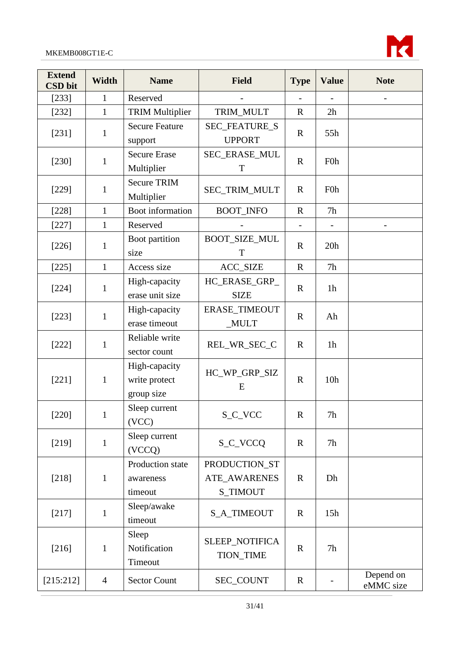

| <b>Extend</b><br><b>CSD</b> bit | <b>Width</b>   | <b>Name</b>                                  | <b>Field</b>                                            | <b>Type</b> | <b>Value</b>     | <b>Note</b>            |
|---------------------------------|----------------|----------------------------------------------|---------------------------------------------------------|-------------|------------------|------------------------|
| $[233]$                         | $\mathbf{1}$   | Reserved                                     |                                                         |             |                  |                        |
| $[232]$                         | $\mathbf{1}$   | <b>TRIM Multiplier</b>                       | TRIM_MULT                                               | $\mathbf R$ | 2h               |                        |
| $[231]$                         | $\mathbf{1}$   | <b>Secure Feature</b><br>support             | <b>SEC_FEATURE_S</b><br><b>UPPORT</b>                   | $\mathbf R$ | 55h              |                        |
| $[230]$                         | $\mathbf{1}$   | <b>Secure Erase</b><br>Multiplier            | SEC_ERASE_MUL<br>$\mathbf T$                            | $\mathbf R$ | F <sub>0</sub> h |                        |
| $[229]$                         | $\mathbf{1}$   | <b>Secure TRIM</b><br>Multiplier             | SEC_TRIM_MULT                                           | $\mathbf R$ | F <sub>0</sub> h |                        |
| $[228]$                         | $\mathbf{1}$   | Boot information                             | <b>BOOT_INFO</b>                                        | $\mathbf R$ | 7h               |                        |
| $[227]$                         | $\mathbf{1}$   | Reserved                                     |                                                         |             |                  |                        |
| $[226]$                         | 1              | Boot partition<br>size                       | <b>BOOT_SIZE_MUL</b><br>$\mathbf T$                     | $\mathbf R$ | 20h              |                        |
| $[225]$                         | $\mathbf{1}$   | Access size                                  | <b>ACC_SIZE</b>                                         | $\mathbf R$ | 7h               |                        |
| $[224]$                         | $\mathbf{1}$   | High-capacity<br>erase unit size             | HC_ERASE_GRP_<br><b>SIZE</b>                            | $\mathbf R$ | 1 <sub>h</sub>   |                        |
| $[223]$                         | $\mathbf{1}$   | High-capacity<br>erase timeout               | ERASE_TIMEOUT<br>$_MULT$                                | $\mathbf R$ | Ah               |                        |
| $[222]$                         | $\mathbf{1}$   | Reliable write<br>sector count               | REL_WR_SEC_C                                            | $\mathbf R$ | 1 <sub>h</sub>   |                        |
| $[221]$                         | $\mathbf{1}$   | High-capacity<br>write protect<br>group size | HC_WP_GRP_SIZ<br>E                                      | $\mathbf R$ | 10 <sub>h</sub>  |                        |
| $[220]$                         | $\mathbf{1}$   | Sleep current<br>(VCC)                       | S_C_VCC                                                 | $\mathbf R$ | 7h               |                        |
| [219]                           | $\mathbf{1}$   | Sleep current<br>(VCCQ)                      | S_C_VCCQ                                                | $\mathbf R$ | 7h               |                        |
| [218]                           | $\mathbf{1}$   | Production state<br>awareness<br>timeout     | PRODUCTION_ST<br><b>ATE_AWARENES</b><br><b>S_TIMOUT</b> | $\mathbf R$ | Dh               |                        |
| [217]                           | $\mathbf{1}$   | Sleep/awake<br>timeout                       | <b>S_A_TIMEOUT</b>                                      | $\mathbf R$ | 15h              |                        |
| [216]                           | $\mathbf{1}$   | Sleep<br>Notification<br>Timeout             | SLEEP_NOTIFICA<br><b>TION_TIME</b>                      | $\mathbf R$ | 7h               |                        |
| [215:212]                       | $\overline{4}$ | <b>Sector Count</b>                          | SEC_COUNT                                               | $\mathbf R$ |                  | Depend on<br>eMMC size |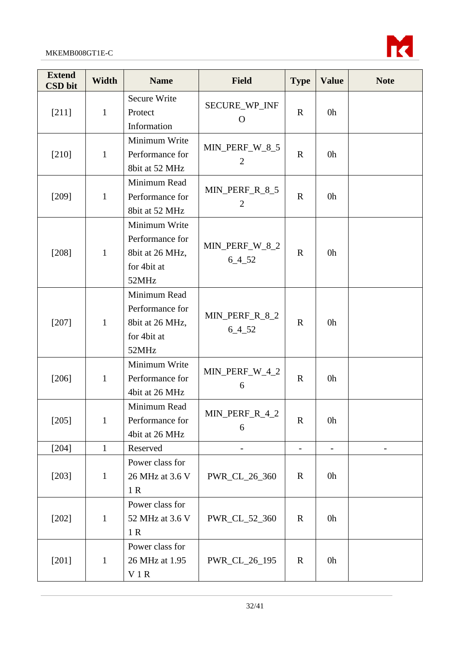

| <b>Extend</b><br><b>CSD</b> bit | <b>Width</b> | <b>Name</b>                                                                 | <b>Field</b>                     | <b>Type</b>              | <b>Value</b>             | <b>Note</b>    |
|---------------------------------|--------------|-----------------------------------------------------------------------------|----------------------------------|--------------------------|--------------------------|----------------|
| $[211]$                         | $\mathbf{1}$ | Secure Write<br>Protect<br>Information                                      | SECURE_WP_INF<br>$\Omega$        | $\mathbf R$              | 0h                       |                |
| $[210]$                         | $\mathbf{1}$ | Minimum Write<br>Performance for<br>8bit at 52 MHz                          | MIN_PERF_W_8_5<br>$\overline{2}$ | $\mathbf{R}$             | 0h                       |                |
| $[209]$                         | $\mathbf{1}$ | Minimum Read<br>Performance for<br>8bit at 52 MHz                           | MIN_PERF_R_8_5<br>$\overline{2}$ | $\mathbf R$              | 0h                       |                |
| $[208]$                         | $\mathbf{1}$ | Minimum Write<br>Performance for<br>8bit at 26 MHz,<br>for 4bit at<br>52MHz | MIN_PERF_W_8_2<br>$6 - 4 - 52$   | $\mathbf R$              | 0h                       |                |
| $[207]$                         | $\mathbf{1}$ | Minimum Read<br>Performance for<br>8bit at 26 MHz,<br>for 4bit at<br>52MHz  | MIN_PERF_R_8_2<br>$6 - 4 - 52$   | $\mathbf R$              | 0h                       |                |
| $[206]$                         | $\mathbf{1}$ | Minimum Write<br>Performance for<br>4bit at 26 MHz                          | MIN_PERF_W_4_2<br>6              | $\mathbf R$              | 0h                       |                |
| $[205]$                         | $\mathbf{1}$ | Minimum Read<br>Performance for<br>4bit at 26 MHz                           | MIN_PERF_R_4_2<br>6              | $\mathbf R$              | 0h                       |                |
| $[204]$                         | $\mathbf{1}$ | Reserved                                                                    |                                  | $\overline{\phantom{a}}$ | $\overline{\phantom{a}}$ | $\overline{a}$ |
| $[203]$                         | $\mathbf{1}$ | Power class for<br>26 MHz at 3.6 V<br>1R                                    | PWR_CL_26_360                    | $\mathbf R$              | 0h                       |                |
| $[202]$                         | $\mathbf{1}$ | Power class for<br>52 MHz at 3.6 V<br>1R                                    | PWR_CL_52_360                    | $\mathbb{R}$             | 0h                       |                |
| $[201]$                         | $\mathbf{1}$ | Power class for<br>26 MHz at 1.95<br>V1R                                    | PWR_CL_26_195                    | $\mathbf R$              | 0h                       |                |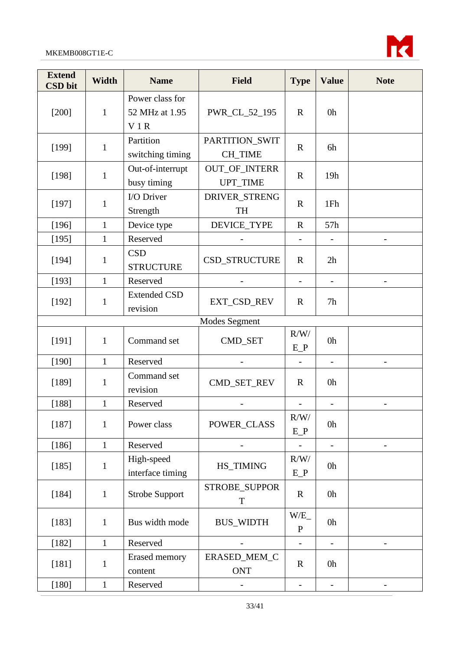

| <b>Extend</b><br><b>CSD</b> bit | <b>Width</b>  | <b>Name</b>                              | <b>Field</b>                            | <b>Type</b>              | <b>Value</b>             | <b>Note</b>              |  |  |  |
|---------------------------------|---------------|------------------------------------------|-----------------------------------------|--------------------------|--------------------------|--------------------------|--|--|--|
| $[200]$                         | $\mathbf{1}$  | Power class for<br>52 MHz at 1.95<br>V1R | PWR_CL_52_195                           | $\mathbf R$              | 0h                       |                          |  |  |  |
| [199]                           | 1             | Partition<br>switching timing            | PARTITION_SWIT<br>CH TIME               | $\mathbf R$              | 6h                       |                          |  |  |  |
| [198]                           | $\mathbf{1}$  | Out-of-interrupt<br>busy timing          | <b>OUT_OF_INTERR</b><br><b>UPT_TIME</b> | $\mathbf R$              | 19h                      |                          |  |  |  |
| [197]                           | 1             | I/O Driver<br>Strength                   | DRIVER_STRENG<br><b>TH</b>              | $\mathbb{R}$             | 1Fh                      |                          |  |  |  |
| [196]                           | $\mathbf{1}$  | Device type                              | DEVICE_TYPE                             | $\mathbf R$              | 57h                      |                          |  |  |  |
| [195]                           | $\mathbf{1}$  | Reserved                                 |                                         |                          |                          |                          |  |  |  |
| [194]                           | 1             | <b>CSD</b><br><b>STRUCTURE</b>           | CSD_STRUCTURE                           | $\mathbb{R}$             | 2h                       |                          |  |  |  |
| [193]                           | $\mathbf{1}$  | Reserved                                 |                                         | $\overline{\phantom{a}}$ |                          | $\qquad \qquad -$        |  |  |  |
| [192]                           | 1             | <b>Extended CSD</b><br>revision          | EXT_CSD_REV                             | $\mathbf R$              | 7h                       |                          |  |  |  |
|                                 | Modes Segment |                                          |                                         |                          |                          |                          |  |  |  |
| [191]                           | $\mathbf{1}$  | Command set                              | CMD_SET                                 | R/W/<br>$E_P$            | 0h                       |                          |  |  |  |
| [190]                           | $\mathbf{1}$  | Reserved                                 |                                         | $\overline{\phantom{a}}$ | $\overline{\phantom{0}}$ |                          |  |  |  |
| [189]                           | 1             | Command set<br>revision                  | CMD_SET_REV                             | $\mathbb{R}$             | 0h                       |                          |  |  |  |
| [188]                           | $\mathbf{1}$  | Reserved                                 |                                         | $\overline{\phantom{a}}$ | $\overline{\phantom{a}}$ |                          |  |  |  |
| [187]                           | $\mathbf{1}$  | Power class                              | POWER_CLASS                             | R/W/<br>$E_P$            | 0h                       |                          |  |  |  |
| [186]                           | $\mathbf{1}$  | Reserved                                 |                                         | $\overline{\phantom{a}}$ | $\overline{a}$           | $\overline{\phantom{a}}$ |  |  |  |
| [185]                           | $\mathbf{1}$  | High-speed<br>interface timing           | HS_TIMING                               | R/W/<br>$E_P$            | 0h                       |                          |  |  |  |
| [184]                           | $\mathbf{1}$  | <b>Strobe Support</b>                    | STROBE_SUPPOR<br>T                      | $\mathbf R$              | 0h                       |                          |  |  |  |
| [183]                           | 1             | Bus width mode                           | <b>BUS_WIDTH</b>                        | W/E<br>$\mathbf{P}$      | 0h                       |                          |  |  |  |
| [182]                           | $\mathbf{1}$  | Reserved                                 |                                         | $\frac{1}{2}$            |                          |                          |  |  |  |
| $[181]$                         | $\mathbf{1}$  | <b>Erased</b> memory<br>content          | ERASED_MEM_C<br>ONT                     | $\mathbf R$              | 0h                       |                          |  |  |  |
| $[180]$                         | $\mathbf{1}$  | Reserved                                 |                                         | $\overline{\phantom{a}}$ | $\overline{\phantom{0}}$ |                          |  |  |  |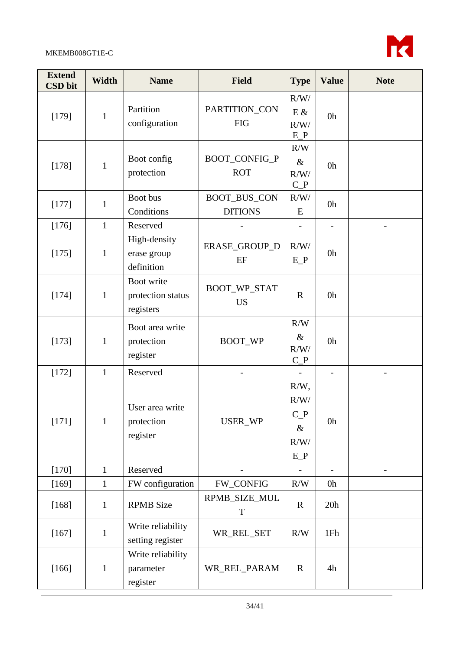

| <b>Extend</b><br><b>CSD</b> bit | Width        | <b>Name</b>                                  | <b>Field</b>                          | <b>Type</b>                                       | <b>Value</b>             | <b>Note</b> |
|---------------------------------|--------------|----------------------------------------------|---------------------------------------|---------------------------------------------------|--------------------------|-------------|
| [179]                           | $\mathbf{1}$ | Partition<br>configuration                   | PARTITION_CON<br><b>FIG</b>           | R/W/<br>$E$ &<br>R/W/<br>$E_P$                    | 0h                       |             |
| [178]                           | $\mathbf{1}$ | Boot config<br>protection                    | BOOT_CONFIG_P<br><b>ROT</b>           | R/W<br>$\&$<br>R/W/<br>$C_P$                      | 0h                       |             |
| [177]                           | $\mathbf{1}$ | Boot bus<br>Conditions                       | <b>BOOT_BUS_CON</b><br><b>DITIONS</b> | R/W/<br>E                                         | 0h                       |             |
| [176]                           | $\mathbf{1}$ | Reserved                                     |                                       |                                                   |                          |             |
| [175]                           | $\mathbf{1}$ | High-density<br>erase group<br>definition    | ERASE_GROUP_D<br>EF                   | R/W/<br>$E_P$                                     | 0h                       |             |
| [174]                           | $\mathbf{1}$ | Boot write<br>protection status<br>registers | BOOT_WP_STAT<br><b>US</b>             | $\mathbf R$                                       | 0h                       |             |
| [173]                           | $\mathbf{1}$ | Boot area write<br>protection<br>register    | BOOT_WP                               | R/W<br>$\&$<br>R/W/<br>$C_{P}$                    | 0h                       |             |
| $[172]$                         | $\mathbf{1}$ | Reserved                                     |                                       | $\frac{1}{2}$                                     | $\overline{\phantom{a}}$ |             |
| [171]                           | $\mathbf{1}$ | User area write<br>protection<br>register    | USER_WP                               | $R/W$ ,<br>R/W/<br>$C_P$<br>$\&$<br>R/W/<br>$E_P$ | 0h                       |             |
| $[170]$                         | $\mathbf{1}$ | Reserved                                     |                                       |                                                   |                          |             |
| [169]                           | $\mathbf{1}$ | FW configuration                             | <b>FW_CONFIG</b>                      | R/W                                               | 0h                       |             |
| $[168]$                         | $\mathbf{1}$ | <b>RPMB</b> Size                             | RPMB_SIZE_MUL<br>$\mathbf T$          | $\mathbf R$                                       | 20h                      |             |
| $[167]$                         | $\mathbf{1}$ | Write reliability<br>setting register        | WR_REL_SET                            | R/W                                               | 1Fh                      |             |
| $[166]$                         | $\mathbf{1}$ | Write reliability<br>parameter<br>register   | WR_REL_PARAM                          | $\mathbf R$                                       | 4h                       |             |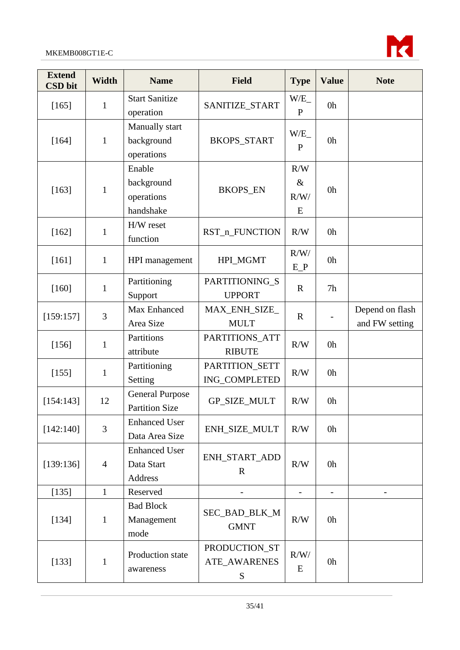

| <b>Extend</b><br><b>CSD</b> bit | <b>Width</b>   | <b>Name</b>                                          | <b>Field</b>                       | <b>Type</b>              | <b>Value</b>             | <b>Note</b>                       |
|---------------------------------|----------------|------------------------------------------------------|------------------------------------|--------------------------|--------------------------|-----------------------------------|
| $[165]$                         | $\mathbf{1}$   | <b>Start Sanitize</b><br>operation                   | SANITIZE_START                     | W/E<br>$\mathbf{P}$      | 0h                       |                                   |
| [164]                           | $\mathbf{1}$   | Manually start<br>background<br>operations           | <b>BKOPS_START</b>                 | W/E<br>$\mathbf{P}$      | 0h                       |                                   |
| [163]                           | $\mathbf{1}$   | Enable<br>background<br>operations<br>handshake      | <b>BKOPS_EN</b>                    | R/W<br>$\&$<br>R/W/<br>E | 0h                       |                                   |
| $[162]$                         | $\mathbf{1}$   | H/W reset<br>function                                | RST_n_FUNCTION                     | R/W                      | 0h                       |                                   |
| [161]                           | $\mathbf{1}$   | HPI management                                       | HPI_MGMT                           | R/W/<br>$E_P$            | 0h                       |                                   |
| $[160]$                         | $\mathbf{1}$   | Partitioning<br>Support                              | PARTITIONING_S<br><b>UPPORT</b>    | $\mathbf R$              | 7h                       |                                   |
| [159:157]                       | 3              | Max Enhanced<br>Area Size                            | MAX_ENH_SIZE_<br><b>MULT</b>       | $\mathbf R$              |                          | Depend on flash<br>and FW setting |
| [156]                           | $\mathbf{1}$   | Partitions<br>attribute                              | PARTITIONS_ATT<br><b>RIBUTE</b>    | R/W                      | 0h                       |                                   |
| [155]                           | $\mathbf{1}$   | Partitioning<br>Setting                              | PARTITION_SETT<br>ING_COMPLETED    | R/W                      | 0h                       |                                   |
| [154:143]                       | 12             | <b>General Purpose</b><br><b>Partition Size</b>      | <b>GP_SIZE_MULT</b>                | R/W                      | 0h                       |                                   |
| [142:140]                       | 3              | <b>Enhanced User</b><br>Data Area Size               | ENH_SIZE_MULT                      | R/W                      | 0h                       |                                   |
| [139:136]                       | $\overline{4}$ | <b>Enhanced User</b><br>Data Start<br><b>Address</b> | ENH_START_ADD<br>$\mathbf R$       | R/W                      | 0h                       |                                   |
| [135]                           | $\mathbf{1}$   | Reserved                                             | $\overline{\phantom{0}}$           | $\overline{\phantom{m}}$ | $\overline{\phantom{a}}$ |                                   |
| [134]                           | $\mathbf{1}$   | <b>Bad Block</b><br>Management<br>mode               | SEC_BAD_BLK_M<br><b>GMNT</b>       | R/W                      | 0h                       |                                   |
| [133]                           | $\mathbf{1}$   | Production state<br>awareness                        | PRODUCTION_ST<br>ATE_AWARENES<br>S | R/W/<br>E                | 0h                       |                                   |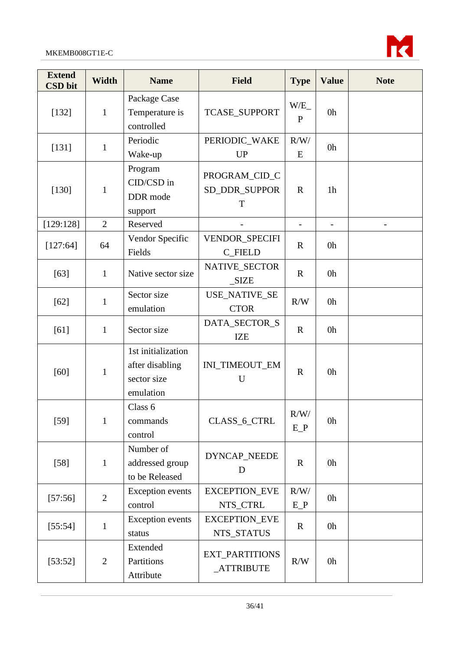

| <b>Extend</b><br><b>CSD</b> bit | <b>Width</b>   | <b>Name</b>                                                       | <b>Field</b>                        | <b>Type</b>         | <b>Value</b>   | <b>Note</b> |
|---------------------------------|----------------|-------------------------------------------------------------------|-------------------------------------|---------------------|----------------|-------------|
| [132]                           | $\mathbf{1}$   | Package Case<br>Temperature is<br>controlled                      | <b>TCASE_SUPPORT</b>                | W/E<br>$\mathbf{P}$ | 0h             |             |
| $[131]$                         | $\mathbf{1}$   | Periodic<br>Wake-up                                               | PERIODIC_WAKE<br><b>UP</b>          | R/W/<br>E           | 0h             |             |
| [130]                           | $\mathbf{1}$   | Program<br>CID/CSD in<br>DDR mode<br>support                      | PROGRAM_CID_C<br>SD_DDR_SUPPOR<br>T | $\mathbf R$         | 1 <sub>h</sub> |             |
| [129:128]                       | $\overline{2}$ | Reserved                                                          |                                     |                     |                |             |
| [127:64]                        | 64             | Vendor Specific<br>Fields                                         | VENDOR_SPECIFI<br><b>C_FIELD</b>    | $\mathbf R$         | 0h             |             |
| $[63]$                          | $\mathbf{1}$   | Native sector size                                                | NATIVE_SECTOR<br>SIZE               | $\mathbf R$         | 0h             |             |
| $[62]$                          | $\mathbf{1}$   | Sector size<br>emulation                                          | <b>USE_NATIVE_SE</b><br><b>CTOR</b> | R/W                 | 0h             |             |
| $[61]$                          | $\mathbf{1}$   | Sector size                                                       | DATA_SECTOR_S<br><b>IZE</b>         | $\mathbf R$         | 0h             |             |
| $[60]$                          | $\mathbf{1}$   | 1st initialization<br>after disabling<br>sector size<br>emulation | INI_TIMEOUT_EM<br>U                 | $\mathbf R$         | 0h             |             |
| $[59]$                          | $\mathbf{1}$   | Class 6<br>commands<br>control                                    | CLASS_6_CTRL                        | R/W/<br>$E_P$       | 0 <sub>h</sub> |             |
| $[58]$                          | $\mathbf{1}$   | Number of<br>addressed group<br>to be Released                    | DYNCAP_NEEDE<br>D                   | $\mathbf R$         | 0h             |             |
| [57:56]                         | $\mathbf{2}$   | <b>Exception</b> events<br>control                                | <b>EXCEPTION_EVE</b><br>NTS_CTRL    | R/W/<br>$E_P$       | 0h             |             |
| [55:54]                         | $\mathbf{1}$   | <b>Exception</b> events<br>status                                 | <b>EXCEPTION_EVE</b><br>NTS_STATUS  | $\mathbf R$         | 0h             |             |
| [53:52]                         | $\overline{2}$ | Extended<br>Partitions<br>Attribute                               | <b>EXT_PARTITIONS</b><br>_ATTRIBUTE | R/W                 | 0h             |             |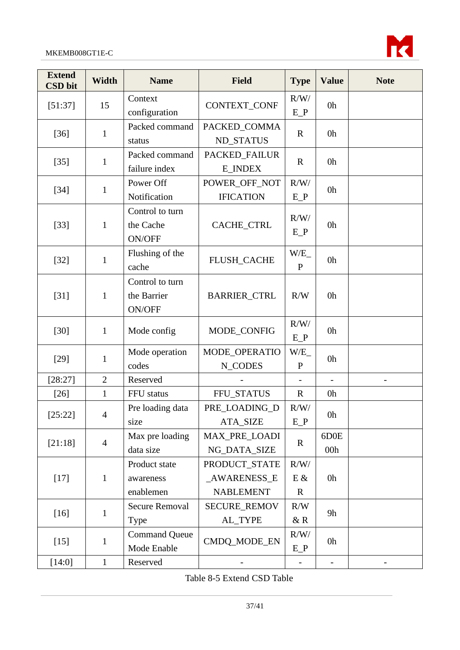

| <b>Extend</b><br><b>CSD</b> bit | <b>Width</b>   | <b>Name</b>                              | <b>Field</b>                                            | <b>Type</b>                  | <b>Value</b> | <b>Note</b> |
|---------------------------------|----------------|------------------------------------------|---------------------------------------------------------|------------------------------|--------------|-------------|
| [51:37]                         | 15             | Context<br>configuration                 | CONTEXT_CONF                                            | R/W/<br>$E_P$                | 0h           |             |
| $[36]$                          | $\mathbf{1}$   | Packed command<br>status                 | PACKED_COMMA<br><b>ND_STATUS</b>                        | $\mathbf R$                  | 0h           |             |
| $[35]$                          | 1              | Packed command<br>failure index          | PACKED_FAILUR<br><b>E_INDEX</b>                         | $\mathbf R$                  | 0h           |             |
| $[34]$                          | 1              | Power Off<br>Notification                | POWER_OFF_NOT<br><b>IFICATION</b>                       | R/W/<br>$E_P$                | 0h           |             |
| $[33]$                          | $\mathbf{1}$   | Control to turn<br>the Cache<br>ON/OFF   | CACHE_CTRL                                              | R/W/<br>$E_P$                | 0h           |             |
| $[32]$                          | $\mathbf{1}$   | Flushing of the<br>cache                 | FLUSH_CACHE                                             | W/E<br>$\mathbf{P}$          | 0h           |             |
| $[31]$                          | $\mathbf{1}$   | Control to turn<br>the Barrier<br>ON/OFF | <b>BARRIER_CTRL</b>                                     | R/W                          | 0h           |             |
| $[30]$                          | $\mathbf{1}$   | Mode config                              | MODE_CONFIG                                             | R/W/<br>$E_P$                | 0h           |             |
| $[29]$                          | $\mathbf{1}$   | Mode operation<br>codes                  | MODE_OPERATIO<br>N_CODES                                | W/E<br>$\mathbf{P}$          | 0h           |             |
| [28:27]                         | $\overline{2}$ | Reserved                                 |                                                         |                              |              |             |
| $[26]$                          | $\mathbf{1}$   | FFU status                               | FFU_STATUS                                              | $\mathbf R$                  | 0h           |             |
| [25:22]                         | $\overline{4}$ | Pre loading data<br>size                 | PRE LOADING D<br><b>ATA_SIZE</b>                        | R/W/<br>$E_P$                | 0h           |             |
| [21:18]                         | $\overline{4}$ | Max pre loading<br>data size             | <b>MAX PRE LOADI</b><br>NG_DATA_SIZE                    | $\mathbb{R}$                 | 6D0E<br>00h  |             |
| $[17]$                          | $\mathbf{1}$   | Product state<br>awareness<br>enablemen  | PRODUCT_STATE<br><b>AWARENESS E</b><br><b>NABLEMENT</b> | R/W/<br>$E$ &<br>$\mathbf R$ | 0h           |             |
| $[16]$                          | $\mathbf{1}$   | <b>Secure Removal</b><br>Type            | <b>SECURE_REMOV</b><br>AL_TYPE                          | R/W<br>$&$ R                 | 9h           |             |
| $[15]$                          | $\mathbf{1}$   | <b>Command Queue</b><br>Mode Enable      | CMDQ_MODE_EN                                            | R/W/<br>$E_P$                | 0h           |             |
| [14:0]                          | $\mathbf{1}$   | Reserved                                 |                                                         |                              |              |             |

<span id="page-36-0"></span>Table 8-5 Extend CSD Table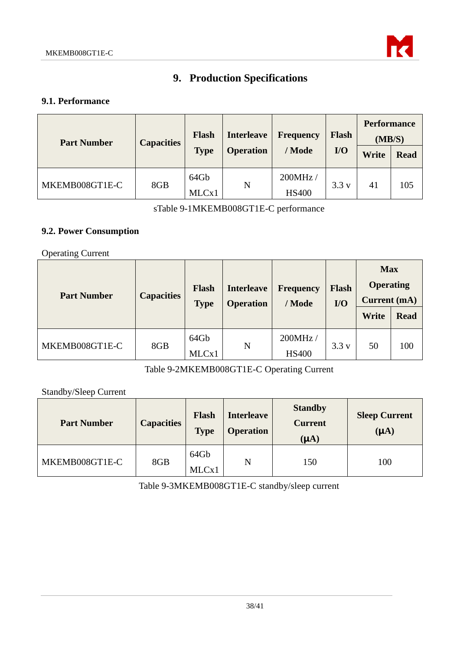

# **9. Production Specifications**

### <span id="page-37-1"></span><span id="page-37-0"></span>**9.1. Performance**

| <b>Part Number</b> | <b>Capacities</b> | <b>Flash</b><br><b>Type</b> | <b>Interleave</b><br><b>Operation</b> | Frequency<br>/ Mode     | <b>Flash</b><br>$U$ | <b>Performance</b><br>(MB/S)<br>Write | <b>Read</b> |
|--------------------|-------------------|-----------------------------|---------------------------------------|-------------------------|---------------------|---------------------------------------|-------------|
| MKEMB008GT1E-C     | 8GB               | 64Gb<br>MLCx1               | N                                     | 200MHz/<br><b>HS400</b> | 3.3v                | 41                                    | 105         |

sTable 9-1MKEMB008GT1E-C performance

### <span id="page-37-3"></span><span id="page-37-2"></span>**9.2. Power Consumption**

Operating Current

| <b>Part Number</b> | <b>Capacities</b> | <b>Flash</b><br><b>Interleave</b><br><b>Operation</b><br><b>Type</b> |   | <b>Frequency</b><br>/ Mode | <b>Flash</b><br>$IO$ | <b>Max</b><br><b>Operating</b><br><b>Current</b> (mA) |             |
|--------------------|-------------------|----------------------------------------------------------------------|---|----------------------------|----------------------|-------------------------------------------------------|-------------|
|                    |                   |                                                                      |   |                            |                      | Write                                                 | <b>Read</b> |
| MKEMB008GT1E-C     | 8GB               | 64Gb<br>MLCx1                                                        | N | 200MHz/<br><b>HS400</b>    | 3.3v                 | 50                                                    | 100         |

Table 9-2MKEMB008GT1E-C Operating Current

<span id="page-37-4"></span>Standby/Sleep Current

<span id="page-37-5"></span>

| <b>Part Number</b> | <b>Capacities</b> | Flash<br><b>Type</b> | <b>Interleave</b><br><b>Operation</b> | <b>Standby</b><br><b>Current</b><br>$(A\mathbf{A})$ | <b>Sleep Current</b><br>(A) |
|--------------------|-------------------|----------------------|---------------------------------------|-----------------------------------------------------|-----------------------------|
| MKEMB008GT1E-C     | 8GB               | 64Gb<br>MLCx1        | N                                     | 150                                                 | 100                         |

Table 9-3MKEMB008GT1E-C standby/sleep current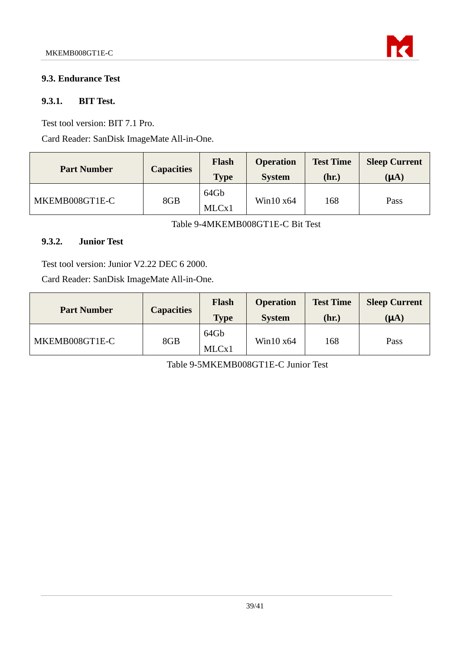

### <span id="page-38-0"></span>**9.3. Endurance Test**

#### **9.3.1. BIT Test.**

Test tool version: BIT 7.1 Pro.

Card Reader: SanDisk ImageMate All-in-One.

| <b>Part Number</b> | <b>Capacities</b> | <b>Flash</b><br><b>Type</b> | <b>Operation</b><br><b>System</b> | <b>Test Time</b><br>(hr.) | <b>Sleep Current</b><br>$(\mu A)$ |
|--------------------|-------------------|-----------------------------|-----------------------------------|---------------------------|-----------------------------------|
| MKEMB008GT1E-C     | 8GB               | 64Gb<br>MLCx1               | Win $10 \times 64$                | 168                       | Pass                              |

Table 9-4MKEMB008GT1E-C Bit Test

### **9.3.2. Junior Test**

Test tool version: Junior V2.22 DEC 6 2000.

Card Reader: SanDisk ImageMate All-in-One.

| <b>Part Number</b> | <b>Capacities</b> | <b>Flash</b><br><b>Type</b> | <b>Operation</b><br><b>System</b> | <b>Test Time</b><br>(hr.) | <b>Sleep Current</b><br>(A) |
|--------------------|-------------------|-----------------------------|-----------------------------------|---------------------------|-----------------------------|
| MKEMB008GT1E-C     | 8GB               | 64Gb<br>MLCx1               | Win $10 \times 64$                | 168                       | Pass                        |

Table 9-5MKEMB008GT1E-C Junior Test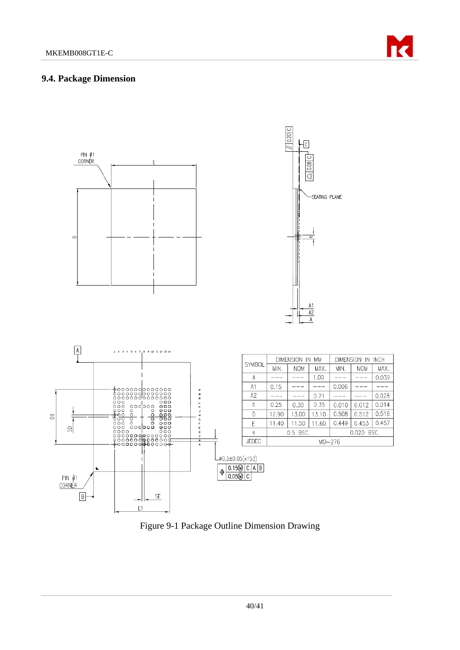

#### <span id="page-39-0"></span>**9.4. Package Dimension**



<span id="page-39-1"></span>Figure 9-1 Package Outline Dimension Drawing